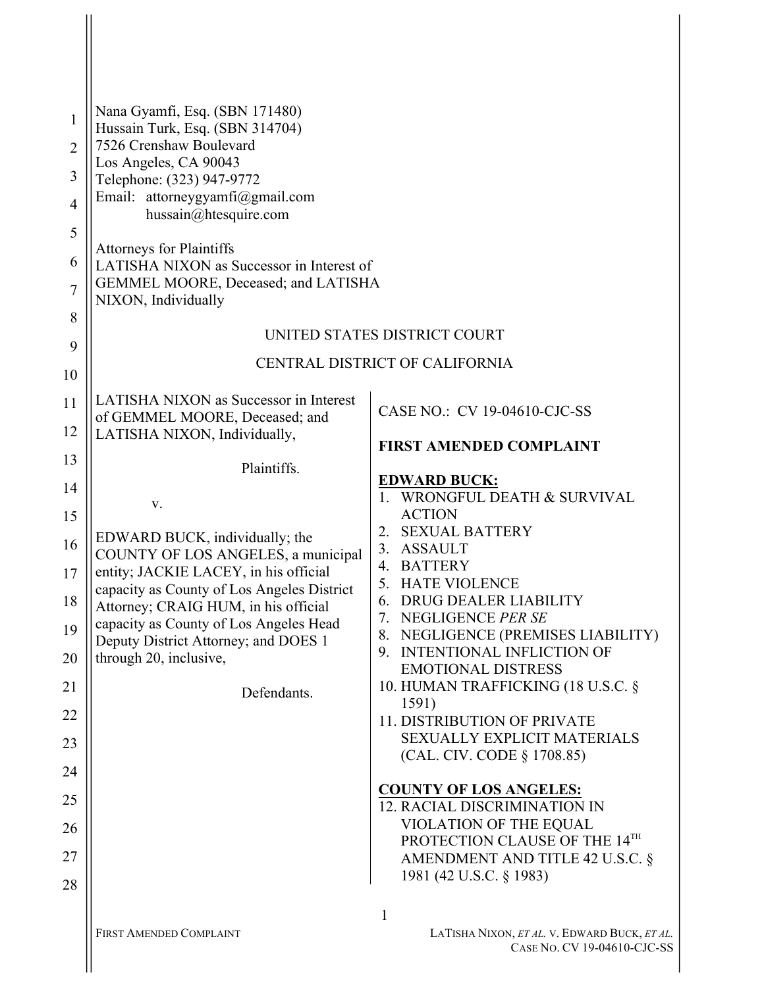| 1              | Nana Gyamfi, Esq. (SBN 171480)<br>Hussain Turk, Esq. (SBN 314704)                   |                                                                      |
|----------------|-------------------------------------------------------------------------------------|----------------------------------------------------------------------|
| $\overline{2}$ | 7526 Crenshaw Boulevard                                                             |                                                                      |
| 3              | Los Angeles, CA 90043<br>Telephone: (323) 947-9772                                  |                                                                      |
| $\overline{4}$ | Email: attorneygyamfi@gmail.com                                                     |                                                                      |
| 5              | hussain@htesquire.com                                                               |                                                                      |
| 6              | <b>Attorneys for Plaintiffs</b><br>LATISHA NIXON as Successor in Interest of        |                                                                      |
| $\overline{7}$ | GEMMEL MOORE, Deceased; and LATISHA<br>NIXON, Individually                          |                                                                      |
| 8              |                                                                                     | UNITED STATES DISTRICT COURT                                         |
| 9              |                                                                                     | CENTRAL DISTRICT OF CALIFORNIA                                       |
| 10             |                                                                                     |                                                                      |
| 11             | LATISHA NIXON as Successor in Interest<br>of GEMMEL MOORE, Deceased; and            | CASE NO.: CV 19-04610-CJC-SS                                         |
| 12             | LATISHA NIXON, Individually,                                                        | <b>FIRST AMENDED COMPLAINT</b>                                       |
| 13             | Plaintiffs.                                                                         | <b>EDWARD BUCK:</b>                                                  |
| 14             | V.                                                                                  | WRONGFUL DEATH & SURVIVAL<br>$\mathbf{1}$ .                          |
| 15             | EDWARD BUCK, individually; the                                                      | <b>ACTION</b><br><b>SEXUAL BATTERY</b><br>2.                         |
| 16             | COUNTY OF LOS ANGELES, a municipal                                                  | <b>ASSAULT</b><br>3.<br><b>BATTERY</b><br>4.                         |
| 17             | entity; JACKIE LACEY, in his official<br>capacity as County of Los Angeles District | 5. HATE VIOLENCE                                                     |
| 18             | Attorney; CRAIG HUM, in his official                                                | DRUG DEALER LIABILITY<br>6.<br>7. NEGLIGENCE PER SE                  |
| 19             | capacity as County of Los Angeles Head<br>Deputy District Attorney; and DOES 1      | 8. NEGLIGENCE (PREMISES LIABILITY)                                   |
| 20             | through 20, inclusive,                                                              | 9. INTENTIONAL INFLICTION OF<br><b>EMOTIONAL DISTRESS</b>            |
| 21             | Defendants.                                                                         | 10. HUMAN TRAFFICKING (18 U.S.C. §<br>1591)                          |
| 22             |                                                                                     | 11. DISTRIBUTION OF PRIVATE                                          |
| 23             |                                                                                     | <b>SEXUALLY EXPLICIT MATERIALS</b><br>(CAL. CIV. CODE § 1708.85)     |
| 24             |                                                                                     |                                                                      |
| 25             |                                                                                     | <b>COUNTY OF LOS ANGELES:</b><br><b>12. RACIAL DISCRIMINATION IN</b> |
| 26             |                                                                                     | VIOLATION OF THE EQUAL<br>PROTECTION CLAUSE OF THE 14TH              |
| 27             |                                                                                     | AMENDMENT AND TITLE 42 U.S.C. §                                      |
| 28             |                                                                                     | 1981 (42 U.S.C. § 1983)                                              |
|                |                                                                                     | 1                                                                    |

**I**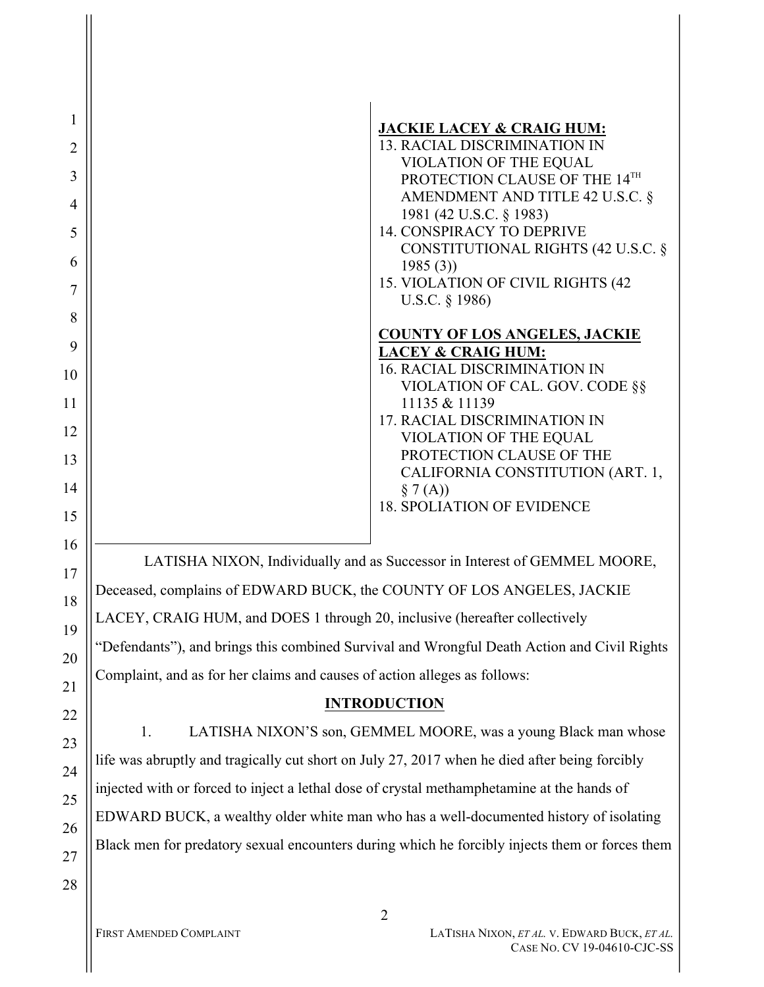| $\mathbf{1}$   |                                                                                                |
|----------------|------------------------------------------------------------------------------------------------|
| $\overline{2}$ | <b>JACKIE LACEY &amp; CRAIG HUM:</b><br><b>13. RACIAL DISCRIMINATION IN</b>                    |
| 3              | VIOLATION OF THE EQUAL<br>PROTECTION CLAUSE OF THE 14TH                                        |
| $\overline{4}$ | AMENDMENT AND TITLE 42 U.S.C. §                                                                |
| 5              | 1981 (42 U.S.C. § 1983)<br><b>14. CONSPIRACY TO DEPRIVE</b>                                    |
| 6              | CONSTITUTIONAL RIGHTS (42 U.S.C. §<br>1985(3)                                                  |
| 7              | 15. VIOLATION OF CIVIL RIGHTS (42<br>U.S.C. § 1986)                                            |
| 8              | <b>COUNTY OF LOS ANGELES, JACKIE</b>                                                           |
| 9              | <b>LACEY &amp; CRAIG HUM:</b><br><b>16. RACIAL DISCRIMINATION IN</b>                           |
| 10             | VIOLATION OF CAL. GOV. CODE §§                                                                 |
| 11             | 11135 & 11139<br><b>17. RACIAL DISCRIMINATION IN</b>                                           |
| 12<br>13       | VIOLATION OF THE EQUAL<br>PROTECTION CLAUSE OF THE                                             |
| 14             | CALIFORNIA CONSTITUTION (ART. 1,<br>§ 7(A))                                                    |
| 15             | <b>18. SPOLIATION OF EVIDENCE</b>                                                              |
| 16             |                                                                                                |
| 17             | LATISHA NIXON, Individually and as Successor in Interest of GEMMEL MOORE,                      |
| 18             | Deceased, complains of EDWARD BUCK, the COUNTY OF LOS ANGELES, JACKIE                          |
| 19             | LACEY, CRAIG HUM, and DOES 1 through 20, inclusive (hereafter collectively                     |
| 20             | "Defendants"), and brings this combined Survival and Wrongful Death Action and Civil Rights    |
| 21             | Complaint, and as for her claims and causes of action alleges as follows:                      |
| 22             | <b>INTRODUCTION</b>                                                                            |
| 23             | LATISHA NIXON'S son, GEMMEL MOORE, was a young Black man whose<br>1.                           |
| 24             | life was abruptly and tragically cut short on July 27, 2017 when he died after being forcibly  |
| 25             | injected with or forced to inject a lethal dose of crystal methamphetamine at the hands of     |
| 26             | EDWARD BUCK, a wealthy older white man who has a well-documented history of isolating          |
| 27             | Black men for predatory sexual encounters during which he forcibly injects them or forces them |
| 28             |                                                                                                |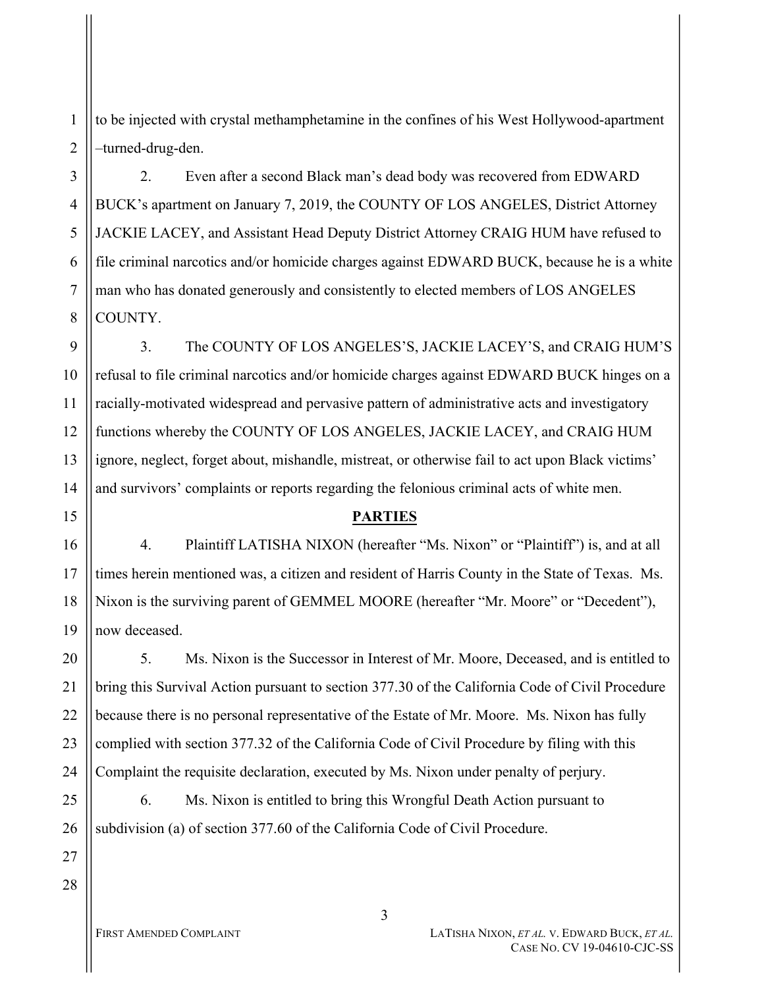to be injected with crystal methamphetamine in the confines of his West Hollywood-apartment –turned-drug-den.

2. Even after a second Black man's dead body was recovered from EDWARD BUCK's apartment on January 7, 2019, the COUNTY OF LOS ANGELES, District Attorney JACKIE LACEY, and Assistant Head Deputy District Attorney CRAIG HUM have refused to file criminal narcotics and/or homicide charges against EDWARD BUCK, because he is a white man who has donated generously and consistently to elected members of LOS ANGELES COUNTY.

9 10 11 12 13 14 3. The COUNTY OF LOS ANGELES'S, JACKIE LACEY'S, and CRAIG HUM'S refusal to file criminal narcotics and/or homicide charges against EDWARD BUCK hinges on a racially-motivated widespread and pervasive pattern of administrative acts and investigatory functions whereby the COUNTY OF LOS ANGELES, JACKIE LACEY, and CRAIG HUM ignore, neglect, forget about, mishandle, mistreat, or otherwise fail to act upon Black victims' and survivors' complaints or reports regarding the felonious criminal acts of white men.

### **PARTIES**

4. Plaintiff LATISHA NIXON (hereafter "Ms. Nixon" or "Plaintiff") is, and at all times herein mentioned was, a citizen and resident of Harris County in the State of Texas. Ms. Nixon is the surviving parent of GEMMEL MOORE (hereafter "Mr. Moore" or "Decedent"), now deceased.

20 21 22 23 24 5. Ms. Nixon is the Successor in Interest of Mr. Moore, Deceased, and is entitled to bring this Survival Action pursuant to section 377.30 of the California Code of Civil Procedure because there is no personal representative of the Estate of Mr. Moore. Ms. Nixon has fully complied with section 377.32 of the California Code of Civil Procedure by filing with this Complaint the requisite declaration, executed by Ms. Nixon under penalty of perjury.

25 26 6. Ms. Nixon is entitled to bring this Wrongful Death Action pursuant to subdivision (a) of section 377.60 of the California Code of Civil Procedure.

1

2

3

4

5

6

7

8

15

16

17

18

19

27

28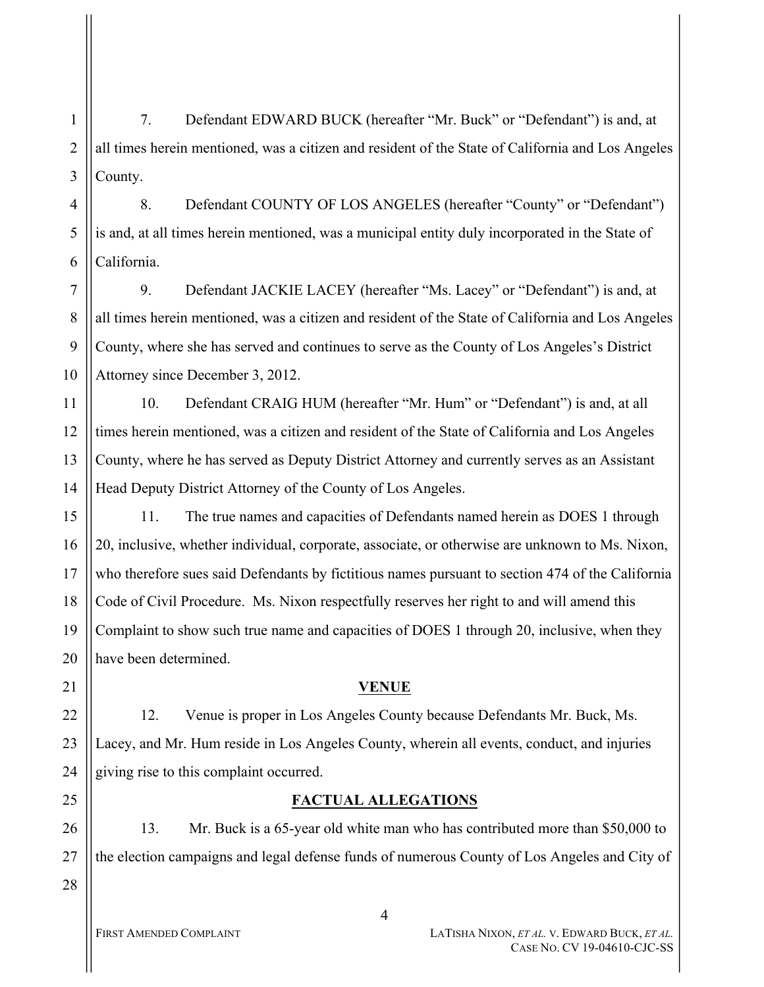1 2 3 7. Defendant EDWARD BUCK (hereafter "Mr. Buck" or "Defendant") is and, at all times herein mentioned, was a citizen and resident of the State of California and Los Angeles County.

4 5 6 8. Defendant COUNTY OF LOS ANGELES (hereafter "County" or "Defendant") is and, at all times herein mentioned, was a municipal entity duly incorporated in the State of California.

7 8 9 10 9. Defendant JACKIE LACEY (hereafter "Ms. Lacey" or "Defendant") is and, at all times herein mentioned, was a citizen and resident of the State of California and Los Angeles County, where she has served and continues to serve as the County of Los Angeles's District Attorney since December 3, 2012.

11 12 13 14 10. Defendant CRAIG HUM (hereafter "Mr. Hum" or "Defendant") is and, at all times herein mentioned, was a citizen and resident of the State of California and Los Angeles County, where he has served as Deputy District Attorney and currently serves as an Assistant Head Deputy District Attorney of the County of Los Angeles.

15 16 17 18 19 20 11. The true names and capacities of Defendants named herein as DOES 1 through 20, inclusive, whether individual, corporate, associate, or otherwise are unknown to Ms. Nixon, who therefore sues said Defendants by fictitious names pursuant to section 474 of the California Code of Civil Procedure. Ms. Nixon respectfully reserves her right to and will amend this Complaint to show such true name and capacities of DOES 1 through 20, inclusive, when they have been determined.

21

22

23

24

## **VENUE**

12. Venue is proper in Los Angeles County because Defendants Mr. Buck, Ms. Lacey, and Mr. Hum reside in Los Angeles County, wherein all events, conduct, and injuries giving rise to this complaint occurred.

## 25

# **FACTUAL ALLEGATIONS**

26 27 28 13. Mr. Buck is a 65-year old white man who has contributed more than \$50,000 to the election campaigns and legal defense funds of numerous County of Los Angeles and City of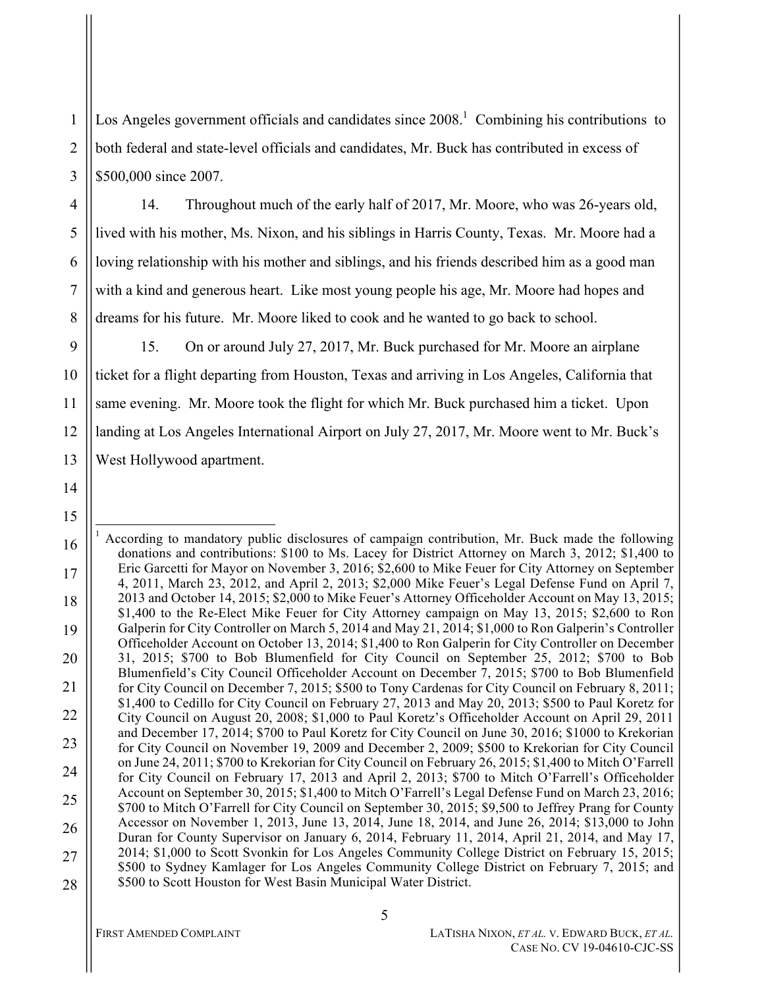Los Angeles government officials and candidates since 2008.<sup>1</sup> Combining his contributions to both federal and state-level officials and candidates, Mr. Buck has contributed in excess of \$500,000 since 2007.

14. Throughout much of the early half of 2017, Mr. Moore, who was 26-years old, lived with his mother, Ms. Nixon, and his siblings in Harris County, Texas. Mr. Moore had a loving relationship with his mother and siblings, and his friends described him as a good man with a kind and generous heart. Like most young people his age, Mr. Moore had hopes and dreams for his future. Mr. Moore liked to cook and he wanted to go back to school.

15. On or around July 27, 2017, Mr. Buck purchased for Mr. Moore an airplane ticket for a flight departing from Houston, Texas and arriving in Los Angeles, California that same evening. Mr. Moore took the flight for which Mr. Buck purchased him a ticket. Upon landing at Los Angeles International Airport on July 27, 2017, Mr. Moore went to Mr. Buck's West Hollywood apartment.

14

15

1

2

3

4

5

6

7

8

9

10

11

12

<sup>16</sup> 17 18 19 20 21 22 23 24 25 26 27 28 i. <sup>1</sup> According to mandatory public disclosures of campaign contribution, Mr. Buck made the following donations and contributions: \$100 to Ms. Lacey for District Attorney on March 3, 2012; \$1,400 to Eric Garcetti for Mayor on November 3, 2016; \$2,600 to Mike Feuer for City Attorney on September 4, 2011, March 23, 2012, and April 2, 2013; \$2,000 Mike Feuer's Legal Defense Fund on April 7, 2013 and October 14, 2015; \$2,000 to Mike Feuer's Attorney Officeholder Account on May 13, 2015; \$1,400 to the Re-Elect Mike Feuer for City Attorney campaign on May 13, 2015; \$2,600 to Ron Galperin for City Controller on March 5, 2014 and May 21, 2014; \$1,000 to Ron Galperin's Controller Officeholder Account on October 13, 2014; \$1,400 to Ron Galperin for City Controller on December 31, 2015; \$700 to Bob Blumenfield for City Council on September 25, 2012; \$700 to Bob Blumenfield's City Council Officeholder Account on December 7, 2015; \$700 to Bob Blumenfield for City Council on December 7, 2015; \$500 to Tony Cardenas for City Council on February 8, 2011; \$1,400 to Cedillo for City Council on February 27, 2013 and May 20, 2013; \$500 to Paul Koretz for City Council on August 20, 2008; \$1,000 to Paul Koretz's Officeholder Account on April 29, 2011 and December 17, 2014; \$700 to Paul Koretz for City Council on June 30, 2016; \$1000 to Krekorian for City Council on November 19, 2009 and December 2, 2009; \$500 to Krekorian for City Council on June 24, 2011; \$700 to Krekorian for City Council on February 26, 2015; \$1,400 to Mitch O'Farrell for City Council on February 17, 2013 and April 2, 2013; \$700 to Mitch O'Farrell's Officeholder Account on September 30, 2015; \$1,400 to Mitch O'Farrell's Legal Defense Fund on March 23, 2016; \$700 to Mitch O'Farrell for City Council on September 30, 2015; \$9,500 to Jeffrey Prang for County Accessor on November 1, 2013, June 13, 2014, June 18, 2014, and June 26, 2014; \$13,000 to John Duran for County Supervisor on January 6, 2014, February 11, 2014, April 21, 2014, and May 17, 2014; \$1,000 to Scott Svonkin for Los Angeles Community College District on February 15, 2015; \$500 to Sydney Kamlager for Los Angeles Community College District on February 7, 2015; and \$500 to Scott Houston for West Basin Municipal Water District.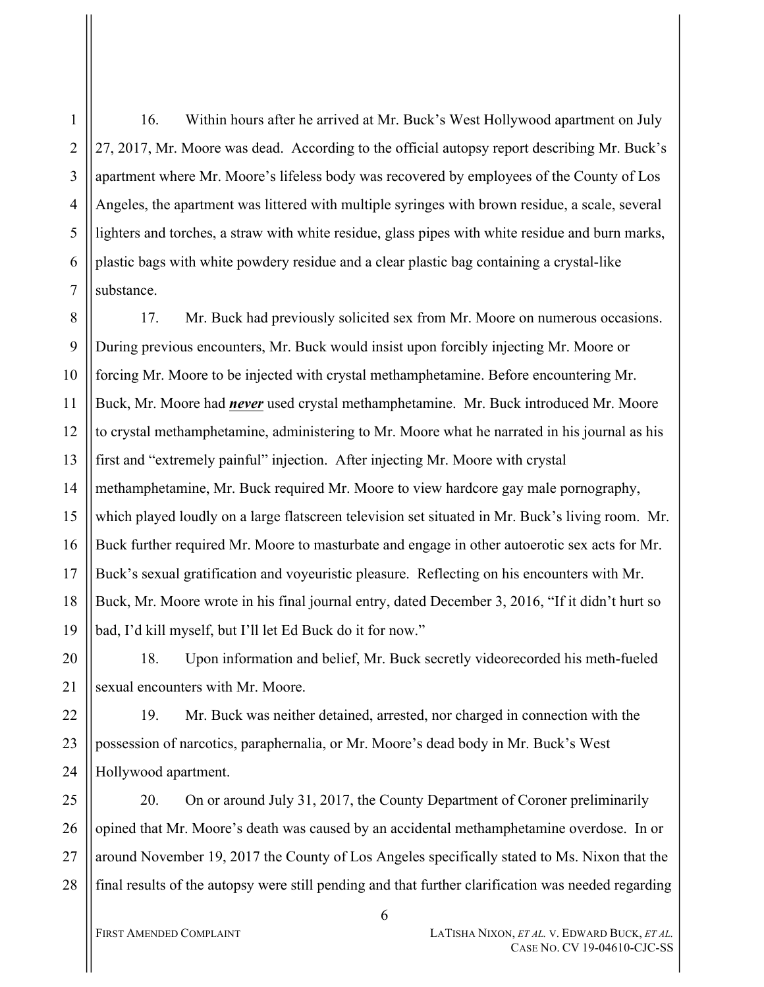3 4 16. Within hours after he arrived at Mr. Buck's West Hollywood apartment on July 27, 2017, Mr. Moore was dead. According to the official autopsy report describing Mr. Buck's apartment where Mr. Moore's lifeless body was recovered by employees of the County of Los Angeles, the apartment was littered with multiple syringes with brown residue, a scale, several lighters and torches, a straw with white residue, glass pipes with white residue and burn marks, plastic bags with white powdery residue and a clear plastic bag containing a crystal-like substance.

8 9 10 11 12 13 14 15 16 17 18 19 17. Mr. Buck had previously solicited sex from Mr. Moore on numerous occasions. During previous encounters, Mr. Buck would insist upon forcibly injecting Mr. Moore or forcing Mr. Moore to be injected with crystal methamphetamine. Before encountering Mr. Buck, Mr. Moore had *never* used crystal methamphetamine. Mr. Buck introduced Mr. Moore to crystal methamphetamine, administering to Mr. Moore what he narrated in his journal as his first and "extremely painful" injection. After injecting Mr. Moore with crystal methamphetamine, Mr. Buck required Mr. Moore to view hardcore gay male pornography, which played loudly on a large flatscreen television set situated in Mr. Buck's living room. Mr. Buck further required Mr. Moore to masturbate and engage in other autoerotic sex acts for Mr. Buck's sexual gratification and voyeuristic pleasure. Reflecting on his encounters with Mr. Buck, Mr. Moore wrote in his final journal entry, dated December 3, 2016, "If it didn't hurt so bad, I'd kill myself, but I'll let Ed Buck do it for now."

20 21 18. Upon information and belief, Mr. Buck secretly videorecorded his meth-fueled sexual encounters with Mr. Moore.

22 23 24 19. Mr. Buck was neither detained, arrested, nor charged in connection with the possession of narcotics, paraphernalia, or Mr. Moore's dead body in Mr. Buck's West Hollywood apartment.

25 26 27 28 20. On or around July 31, 2017, the County Department of Coroner preliminarily opined that Mr. Moore's death was caused by an accidental methamphetamine overdose. In or around November 19, 2017 the County of Los Angeles specifically stated to Ms. Nixon that the final results of the autopsy were still pending and that further clarification was needed regarding

1

2

5

6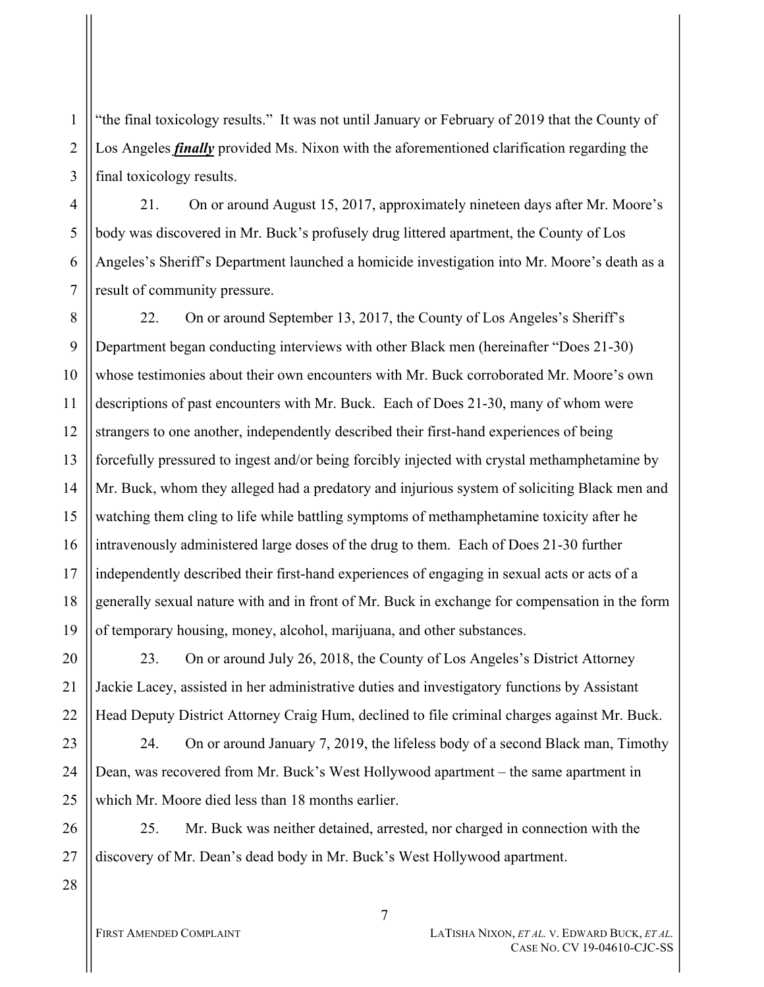"the final toxicology results." It was not until January or February of 2019 that the County of Los Angeles *finally* provided Ms. Nixon with the aforementioned clarification regarding the final toxicology results.

21. On or around August 15, 2017, approximately nineteen days after Mr. Moore's body was discovered in Mr. Buck's profusely drug littered apartment, the County of Los Angeles's Sheriff's Department launched a homicide investigation into Mr. Moore's death as a result of community pressure.

8 9 10 11 12 13 14 15 16 17 18 19 22. On or around September 13, 2017, the County of Los Angeles's Sheriff's Department began conducting interviews with other Black men (hereinafter "Does 21-30) whose testimonies about their own encounters with Mr. Buck corroborated Mr. Moore's own descriptions of past encounters with Mr. Buck. Each of Does 21-30, many of whom were strangers to one another, independently described their first-hand experiences of being forcefully pressured to ingest and/or being forcibly injected with crystal methamphetamine by Mr. Buck, whom they alleged had a predatory and injurious system of soliciting Black men and watching them cling to life while battling symptoms of methamphetamine toxicity after he intravenously administered large doses of the drug to them. Each of Does 21-30 further independently described their first-hand experiences of engaging in sexual acts or acts of a generally sexual nature with and in front of Mr. Buck in exchange for compensation in the form of temporary housing, money, alcohol, marijuana, and other substances.

23. On or around July 26, 2018, the County of Los Angeles's District Attorney Jackie Lacey, assisted in her administrative duties and investigatory functions by Assistant Head Deputy District Attorney Craig Hum, declined to file criminal charges against Mr. Buck.

23 24. On or around January 7, 2019, the lifeless body of a second Black man, Timothy Dean, was recovered from Mr. Buck's West Hollywood apartment – the same apartment in which Mr. Moore died less than 18 months earlier.

25. Mr. Buck was neither detained, arrested, nor charged in connection with the discovery of Mr. Dean's dead body in Mr. Buck's West Hollywood apartment.

28

20

21

22

1

2

3

4

5

6

7

FIRST AMENDED COMPLAINT **LATISHA NIXON,** *ET AL.* V. EDWARD BUCK, *ET AL.* CASE NO. CV 19-04610-CJC-SS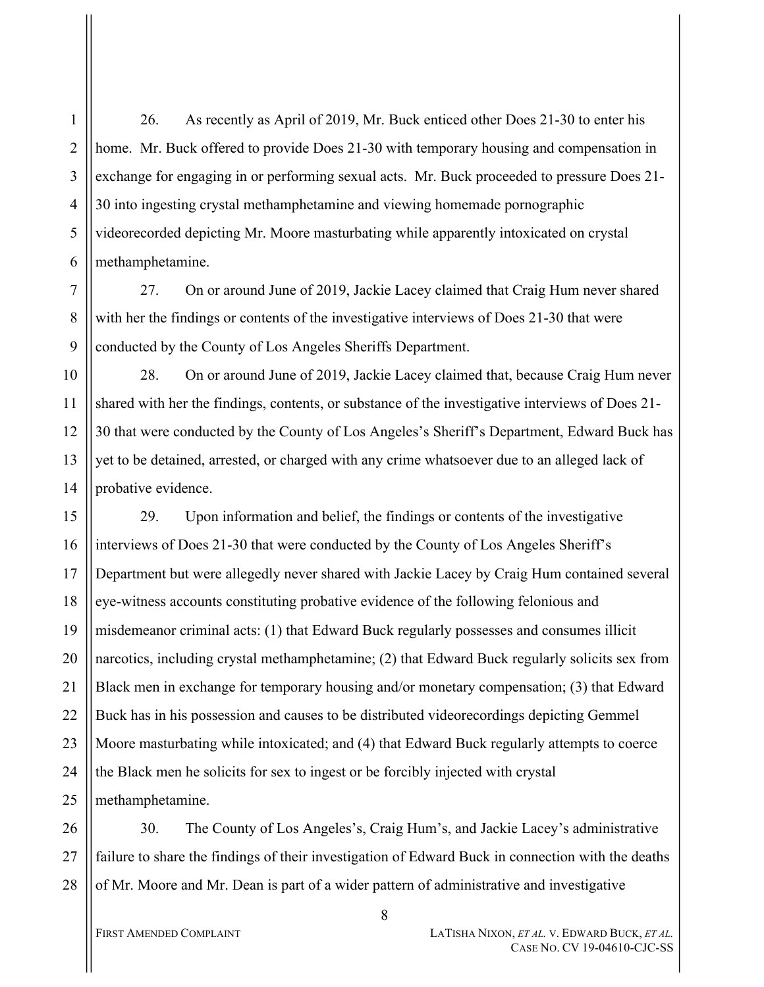26. As recently as April of 2019, Mr. Buck enticed other Does 21-30 to enter his home. Mr. Buck offered to provide Does 21-30 with temporary housing and compensation in exchange for engaging in or performing sexual acts. Mr. Buck proceeded to pressure Does 21- 30 into ingesting crystal methamphetamine and viewing homemade pornographic videorecorded depicting Mr. Moore masturbating while apparently intoxicated on crystal methamphetamine.

7 8 9 27. On or around June of 2019, Jackie Lacey claimed that Craig Hum never shared with her the findings or contents of the investigative interviews of Does 21-30 that were conducted by the County of Los Angeles Sheriffs Department.

10 11 12 13 14 28. On or around June of 2019, Jackie Lacey claimed that, because Craig Hum never shared with her the findings, contents, or substance of the investigative interviews of Does 21- 30 that were conducted by the County of Los Angeles's Sheriff's Department, Edward Buck has yet to be detained, arrested, or charged with any crime whatsoever due to an alleged lack of probative evidence.

15 16 17 18 19 20 21 22 23 24 25 29. Upon information and belief, the findings or contents of the investigative interviews of Does 21-30 that were conducted by the County of Los Angeles Sheriff's Department but were allegedly never shared with Jackie Lacey by Craig Hum contained several eye-witness accounts constituting probative evidence of the following felonious and misdemeanor criminal acts: (1) that Edward Buck regularly possesses and consumes illicit narcotics, including crystal methamphetamine; (2) that Edward Buck regularly solicits sex from Black men in exchange for temporary housing and/or monetary compensation; (3) that Edward Buck has in his possession and causes to be distributed videorecordings depicting Gemmel Moore masturbating while intoxicated; and (4) that Edward Buck regularly attempts to coerce the Black men he solicits for sex to ingest or be forcibly injected with crystal methamphetamine.

26 27 28 30. The County of Los Angeles's, Craig Hum's, and Jackie Lacey's administrative failure to share the findings of their investigation of Edward Buck in connection with the deaths of Mr. Moore and Mr. Dean is part of a wider pattern of administrative and investigative

1

2

3

4

5

6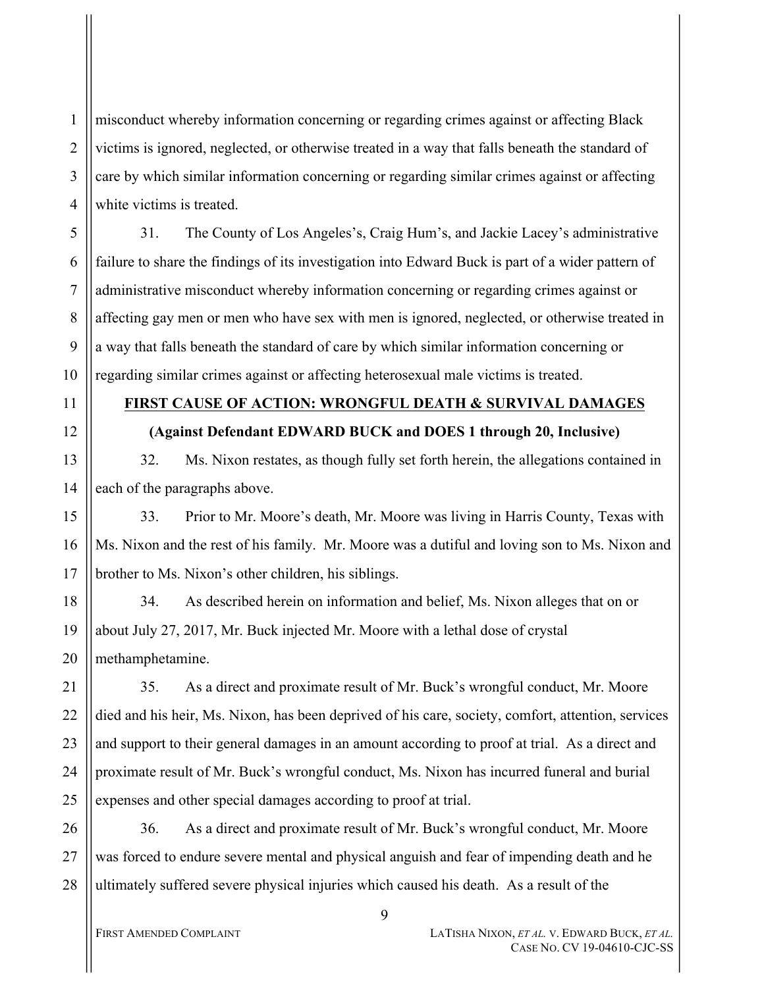misconduct whereby information concerning or regarding crimes against or affecting Black victims is ignored, neglected, or otherwise treated in a way that falls beneath the standard of care by which similar information concerning or regarding similar crimes against or affecting white victims is treated.

31. The County of Los Angeles's, Craig Hum's, and Jackie Lacey's administrative failure to share the findings of its investigation into Edward Buck is part of a wider pattern of administrative misconduct whereby information concerning or regarding crimes against or affecting gay men or men who have sex with men is ignored, neglected, or otherwise treated in a way that falls beneath the standard of care by which similar information concerning or regarding similar crimes against or affecting heterosexual male victims is treated.

11

12

13

14

15

16

17

1

2

3

4

5

6

7

8

9

10

# **FIRST CAUSE OF ACTION: WRONGFUL DEATH & SURVIVAL DAMAGES**

## **(Against Defendant EDWARD BUCK and DOES 1 through 20, Inclusive)**

32. Ms. Nixon restates, as though fully set forth herein, the allegations contained in each of the paragraphs above.

33. Prior to Mr. Moore's death, Mr. Moore was living in Harris County, Texas with Ms. Nixon and the rest of his family. Mr. Moore was a dutiful and loving son to Ms. Nixon and brother to Ms. Nixon's other children, his siblings.

18 19 20 34. As described herein on information and belief, Ms. Nixon alleges that on or about July 27, 2017, Mr. Buck injected Mr. Moore with a lethal dose of crystal methamphetamine.

21 22 23 24 25 35. As a direct and proximate result of Mr. Buck's wrongful conduct, Mr. Moore died and his heir, Ms. Nixon, has been deprived of his care, society, comfort, attention, services and support to their general damages in an amount according to proof at trial. As a direct and proximate result of Mr. Buck's wrongful conduct, Ms. Nixon has incurred funeral and burial expenses and other special damages according to proof at trial.

26 27 28 36. As a direct and proximate result of Mr. Buck's wrongful conduct, Mr. Moore was forced to endure severe mental and physical anguish and fear of impending death and he ultimately suffered severe physical injuries which caused his death. As a result of the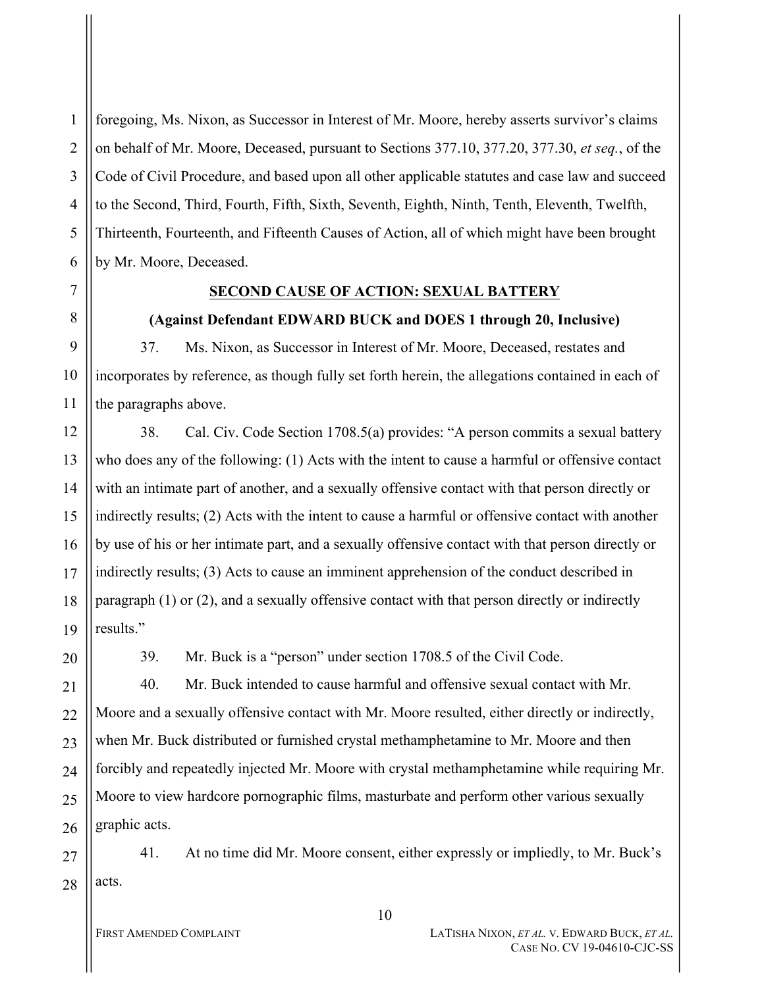1 2 3 4 5 6 foregoing, Ms. Nixon, as Successor in Interest of Mr. Moore, hereby asserts survivor's claims on behalf of Mr. Moore, Deceased, pursuant to Sections 377.10, 377.20, 377.30, *et seq.*, of the Code of Civil Procedure, and based upon all other applicable statutes and case law and succeed to the Second, Third, Fourth, Fifth, Sixth, Seventh, Eighth, Ninth, Tenth, Eleventh, Twelfth, Thirteenth, Fourteenth, and Fifteenth Causes of Action, all of which might have been brought by Mr. Moore, Deceased.

7

8

9

10

11

## **SECOND CAUSE OF ACTION: SEXUAL BATTERY**

### **(Against Defendant EDWARD BUCK and DOES 1 through 20, Inclusive)**

37. Ms. Nixon, as Successor in Interest of Mr. Moore, Deceased, restates and incorporates by reference, as though fully set forth herein, the allegations contained in each of the paragraphs above.

12 38. Cal. Civ. Code Section 1708.5(a) provides: "A person commits a sexual battery who does any of the following: (1) Acts with the intent to cause a harmful or offensive contact with an intimate part of another, and a sexually offensive contact with that person directly or indirectly results; (2) Acts with the intent to cause a harmful or offensive contact with another by use of his or her intimate part, and a sexually offensive contact with that person directly or indirectly results; (3) Acts to cause an imminent apprehension of the conduct described in paragraph (1) or (2), and a sexually offensive contact with that person directly or indirectly results."

39. Mr. Buck is a "person" under section 1708.5 of the Civil Code.

40. Mr. Buck intended to cause harmful and offensive sexual contact with Mr. Moore and a sexually offensive contact with Mr. Moore resulted, either directly or indirectly, when Mr. Buck distributed or furnished crystal methamphetamine to Mr. Moore and then forcibly and repeatedly injected Mr. Moore with crystal methamphetamine while requiring Mr. Moore to view hardcore pornographic films, masturbate and perform other various sexually graphic acts.

41. At no time did Mr. Moore consent, either expressly or impliedly, to Mr. Buck's acts.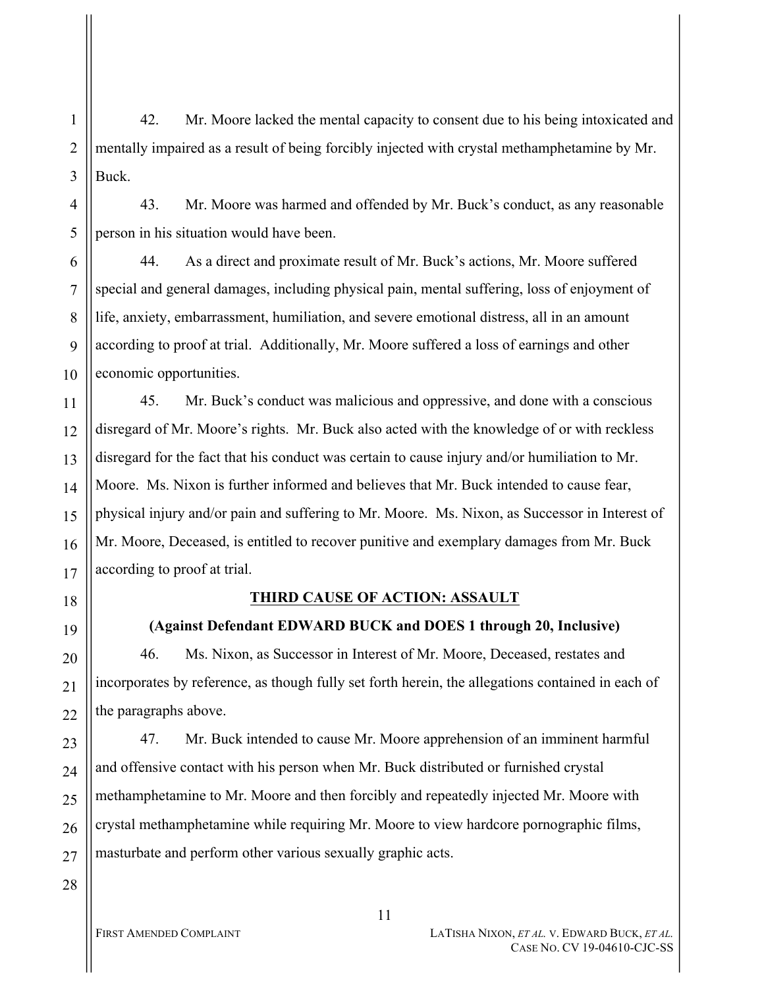42. Mr. Moore lacked the mental capacity to consent due to his being intoxicated and mentally impaired as a result of being forcibly injected with crystal methamphetamine by Mr. Buck.

43. Mr. Moore was harmed and offended by Mr. Buck's conduct, as any reasonable person in his situation would have been.

6 7 8 9 10 44. As a direct and proximate result of Mr. Buck's actions, Mr. Moore suffered special and general damages, including physical pain, mental suffering, loss of enjoyment of life, anxiety, embarrassment, humiliation, and severe emotional distress, all in an amount according to proof at trial. Additionally, Mr. Moore suffered a loss of earnings and other economic opportunities.

11 12 13 14 15 16 17 45. Mr. Buck's conduct was malicious and oppressive, and done with a conscious disregard of Mr. Moore's rights. Mr. Buck also acted with the knowledge of or with reckless disregard for the fact that his conduct was certain to cause injury and/or humiliation to Mr. Moore. Ms. Nixon is further informed and believes that Mr. Buck intended to cause fear, physical injury and/or pain and suffering to Mr. Moore. Ms. Nixon, as Successor in Interest of Mr. Moore, Deceased, is entitled to recover punitive and exemplary damages from Mr. Buck according to proof at trial.

#### 18

19

20

21

22

28

1

2

3

4

5

## **THIRD CAUSE OF ACTION: ASSAULT**

### **(Against Defendant EDWARD BUCK and DOES 1 through 20, Inclusive)**

46. Ms. Nixon, as Successor in Interest of Mr. Moore, Deceased, restates and incorporates by reference, as though fully set forth herein, the allegations contained in each of the paragraphs above.

23 24 25 26 27 47. Mr. Buck intended to cause Mr. Moore apprehension of an imminent harmful and offensive contact with his person when Mr. Buck distributed or furnished crystal methamphetamine to Mr. Moore and then forcibly and repeatedly injected Mr. Moore with crystal methamphetamine while requiring Mr. Moore to view hardcore pornographic films, masturbate and perform other various sexually graphic acts.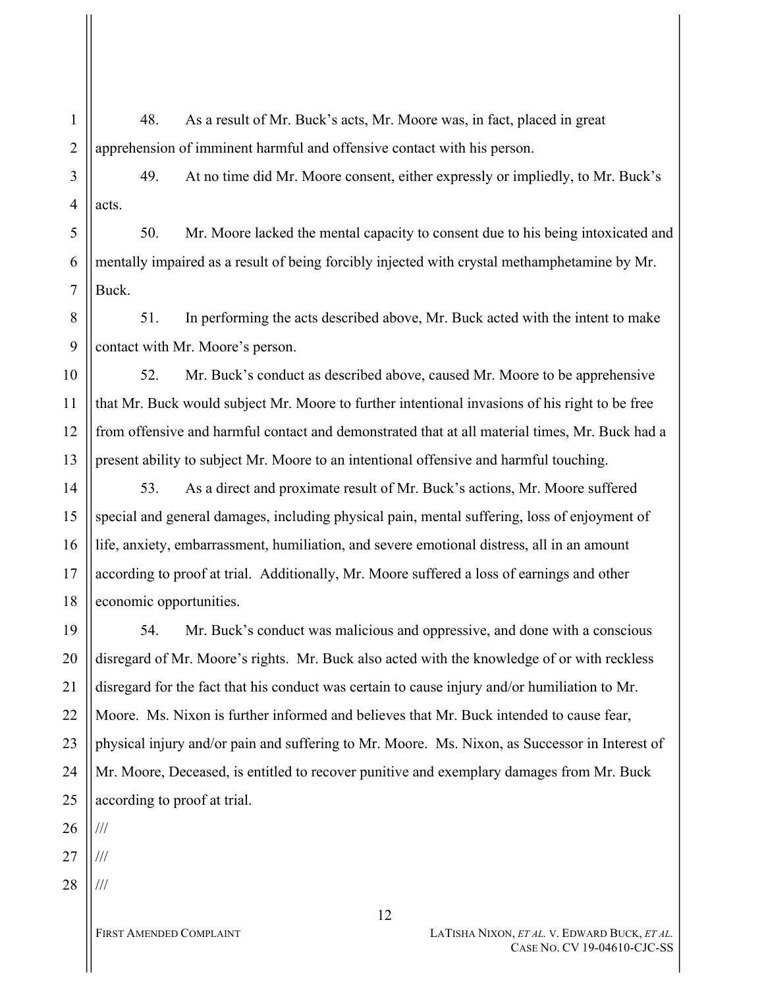48. As a result of Mr. Buck's acts, Mr. Moore was, in fact, placed in great apprehension of imminent harmful and offensive contact with his person.

3 4 49. At no time did Mr. Moore consent, either expressly or impliedly, to Mr. Buck's acts.

50. Mr. Moore lacked the mental capacity to consent due to his being intoxicated and mentally impaired as a result of being forcibly injected with crystal methamphetamine by Mr. Buck.

8 9 51. In performing the acts described above, Mr. Buck acted with the intent to make contact with Mr. Moore's person.

10 11 12 13 52. Mr. Buck's conduct as described above, caused Mr. Moore to be apprehensive that Mr. Buck would subject Mr. Moore to further intentional invasions of his right to be free from offensive and harmful contact and demonstrated that at all material times, Mr. Buck had a present ability to subject Mr. Moore to an intentional offensive and harmful touching.

14 15 16 17 18 53. As a direct and proximate result of Mr. Buck's actions, Mr. Moore suffered special and general damages, including physical pain, mental suffering, loss of enjoyment of life, anxiety, embarrassment, humiliation, and severe emotional distress, all in an amount according to proof at trial. Additionally, Mr. Moore suffered a loss of earnings and other economic opportunities.

19 20 21 22 23 24 25 54. Mr. Buck's conduct was malicious and oppressive, and done with a conscious disregard of Mr. Moore's rights. Mr. Buck also acted with the knowledge of or with reckless disregard for the fact that his conduct was certain to cause injury and/or humiliation to Mr. Moore. Ms. Nixon is further informed and believes that Mr. Buck intended to cause fear, physical injury and/or pain and suffering to Mr. Moore. Ms. Nixon, as Successor in Interest of Mr. Moore, Deceased, is entitled to recover punitive and exemplary damages from Mr. Buck according to proof at trial.

26 ///

27 ///

1

2

5

6

7

28 ///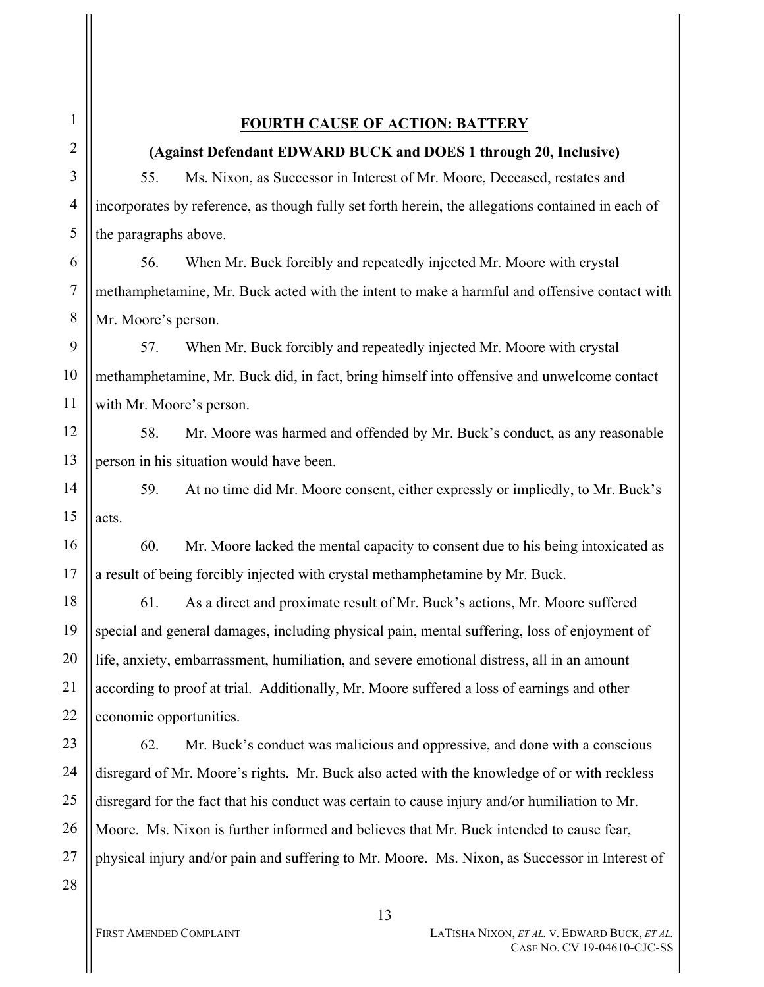### **FOURTH CAUSE OF ACTION: BATTERY**

#### **(Against Defendant EDWARD BUCK and DOES 1 through 20, Inclusive)**

55. Ms. Nixon, as Successor in Interest of Mr. Moore, Deceased, restates and incorporates by reference, as though fully set forth herein, the allegations contained in each of the paragraphs above.

6 7 8 56. When Mr. Buck forcibly and repeatedly injected Mr. Moore with crystal methamphetamine, Mr. Buck acted with the intent to make a harmful and offensive contact with Mr. Moore's person.

9 10 57. When Mr. Buck forcibly and repeatedly injected Mr. Moore with crystal methamphetamine, Mr. Buck did, in fact, bring himself into offensive and unwelcome contact with Mr. Moore's person.

12 13 58. Mr. Moore was harmed and offended by Mr. Buck's conduct, as any reasonable person in his situation would have been.

14 15 59. At no time did Mr. Moore consent, either expressly or impliedly, to Mr. Buck's acts.

16 17 60. Mr. Moore lacked the mental capacity to consent due to his being intoxicated as a result of being forcibly injected with crystal methamphetamine by Mr. Buck.

18 19 20 21 22 61. As a direct and proximate result of Mr. Buck's actions, Mr. Moore suffered special and general damages, including physical pain, mental suffering, loss of enjoyment of life, anxiety, embarrassment, humiliation, and severe emotional distress, all in an amount according to proof at trial. Additionally, Mr. Moore suffered a loss of earnings and other economic opportunities.

23 24 25 26 27 28 62. Mr. Buck's conduct was malicious and oppressive, and done with a conscious disregard of Mr. Moore's rights. Mr. Buck also acted with the knowledge of or with reckless disregard for the fact that his conduct was certain to cause injury and/or humiliation to Mr. Moore. Ms. Nixon is further informed and believes that Mr. Buck intended to cause fear, physical injury and/or pain and suffering to Mr. Moore. Ms. Nixon, as Successor in Interest of

1

2

3

4

5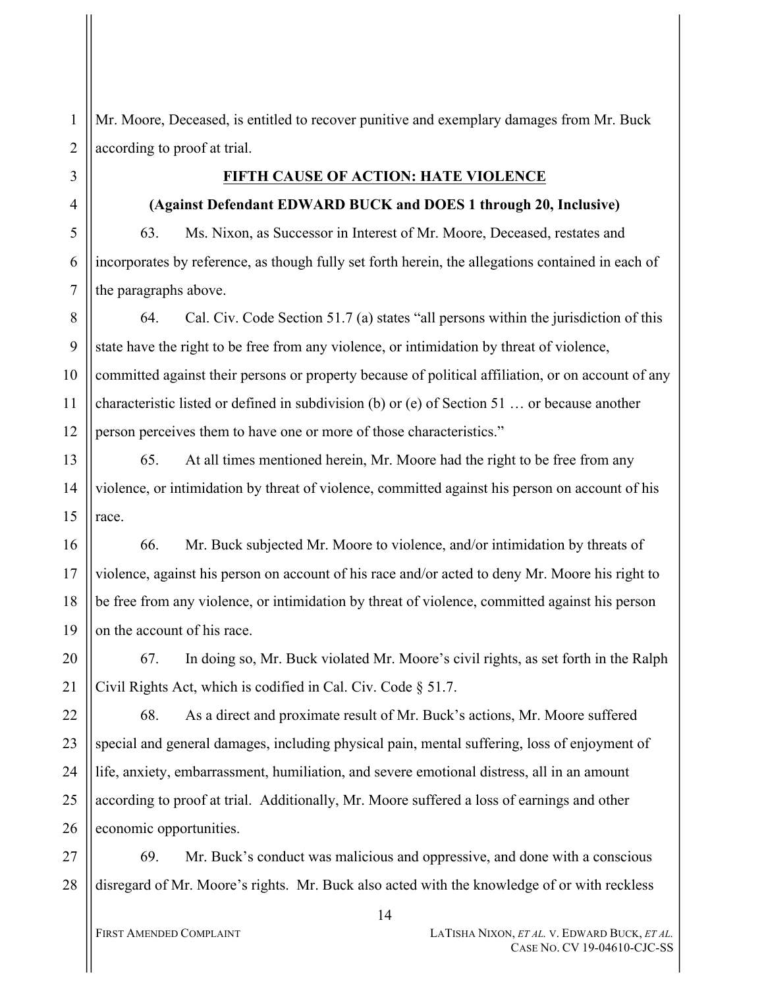Mr. Moore, Deceased, is entitled to recover punitive and exemplary damages from Mr. Buck according to proof at trial.

#### **FIFTH CAUSE OF ACTION: HATE VIOLENCE**

#### **(Against Defendant EDWARD BUCK and DOES 1 through 20, Inclusive)**

63. Ms. Nixon, as Successor in Interest of Mr. Moore, Deceased, restates and incorporates by reference, as though fully set forth herein, the allegations contained in each of the paragraphs above.

8 9 10 12 64. Cal. Civ. Code Section 51.7 (a) states "all persons within the jurisdiction of this state have the right to be free from any violence, or intimidation by threat of violence, committed against their persons or property because of political affiliation, or on account of any characteristic listed or defined in subdivision (b) or (e) of Section 51 … or because another person perceives them to have one or more of those characteristics."

13 14 15 65. At all times mentioned herein, Mr. Moore had the right to be free from any violence, or intimidation by threat of violence, committed against his person on account of his race.

16 17 18 19 66. Mr. Buck subjected Mr. Moore to violence, and/or intimidation by threats of violence, against his person on account of his race and/or acted to deny Mr. Moore his right to be free from any violence, or intimidation by threat of violence, committed against his person on the account of his race.

20 21 67. In doing so, Mr. Buck violated Mr. Moore's civil rights, as set forth in the Ralph Civil Rights Act, which is codified in Cal. Civ. Code § 51.7.

22 23 24 25 26 68. As a direct and proximate result of Mr. Buck's actions, Mr. Moore suffered special and general damages, including physical pain, mental suffering, loss of enjoyment of life, anxiety, embarrassment, humiliation, and severe emotional distress, all in an amount according to proof at trial. Additionally, Mr. Moore suffered a loss of earnings and other economic opportunities.

27 28 69. Mr. Buck's conduct was malicious and oppressive, and done with a conscious disregard of Mr. Moore's rights. Mr. Buck also acted with the knowledge of or with reckless

1

2

3

4

5

6

7

11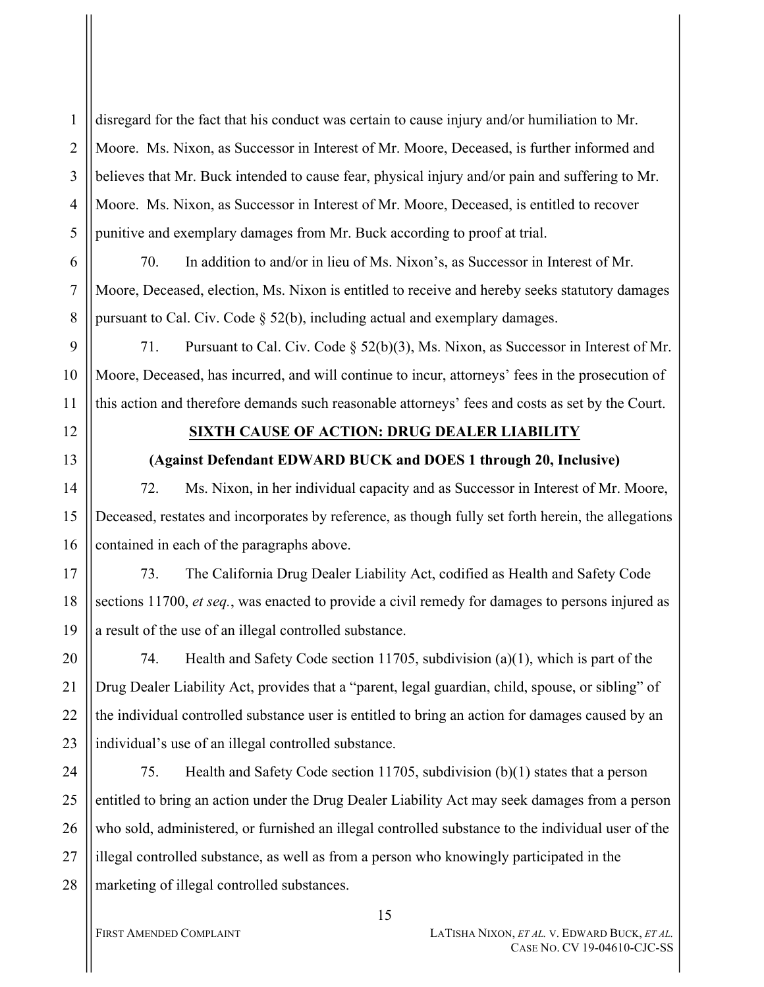2 3 4 5 disregard for the fact that his conduct was certain to cause injury and/or humiliation to Mr. Moore. Ms. Nixon, as Successor in Interest of Mr. Moore, Deceased, is further informed and believes that Mr. Buck intended to cause fear, physical injury and/or pain and suffering to Mr. Moore. Ms. Nixon, as Successor in Interest of Mr. Moore, Deceased, is entitled to recover punitive and exemplary damages from Mr. Buck according to proof at trial.

6

7

8

9

10

11

13

14

15

16

1

70. In addition to and/or in lieu of Ms. Nixon's, as Successor in Interest of Mr. Moore, Deceased, election, Ms. Nixon is entitled to receive and hereby seeks statutory damages pursuant to Cal. Civ. Code § 52(b), including actual and exemplary damages.

71. Pursuant to Cal. Civ. Code § 52(b)(3), Ms. Nixon, as Successor in Interest of Mr. Moore, Deceased, has incurred, and will continue to incur, attorneys' fees in the prosecution of this action and therefore demands such reasonable attorneys' fees and costs as set by the Court.

12

### **SIXTH CAUSE OF ACTION: DRUG DEALER LIABILITY**

## **(Against Defendant EDWARD BUCK and DOES 1 through 20, Inclusive)**

72. Ms. Nixon, in her individual capacity and as Successor in Interest of Mr. Moore, Deceased, restates and incorporates by reference, as though fully set forth herein, the allegations contained in each of the paragraphs above.

17 18 19 73. The California Drug Dealer Liability Act, codified as Health and Safety Code sections 11700, *et seq.*, was enacted to provide a civil remedy for damages to persons injured as a result of the use of an illegal controlled substance.

20 21 22 23 74. Health and Safety Code section 11705, subdivision (a)(1), which is part of the Drug Dealer Liability Act, provides that a "parent, legal guardian, child, spouse, or sibling" of the individual controlled substance user is entitled to bring an action for damages caused by an individual's use of an illegal controlled substance.

24 25 26 27 28 75. Health and Safety Code section 11705, subdivision (b)(1) states that a person entitled to bring an action under the Drug Dealer Liability Act may seek damages from a person who sold, administered, or furnished an illegal controlled substance to the individual user of the illegal controlled substance, as well as from a person who knowingly participated in the marketing of illegal controlled substances.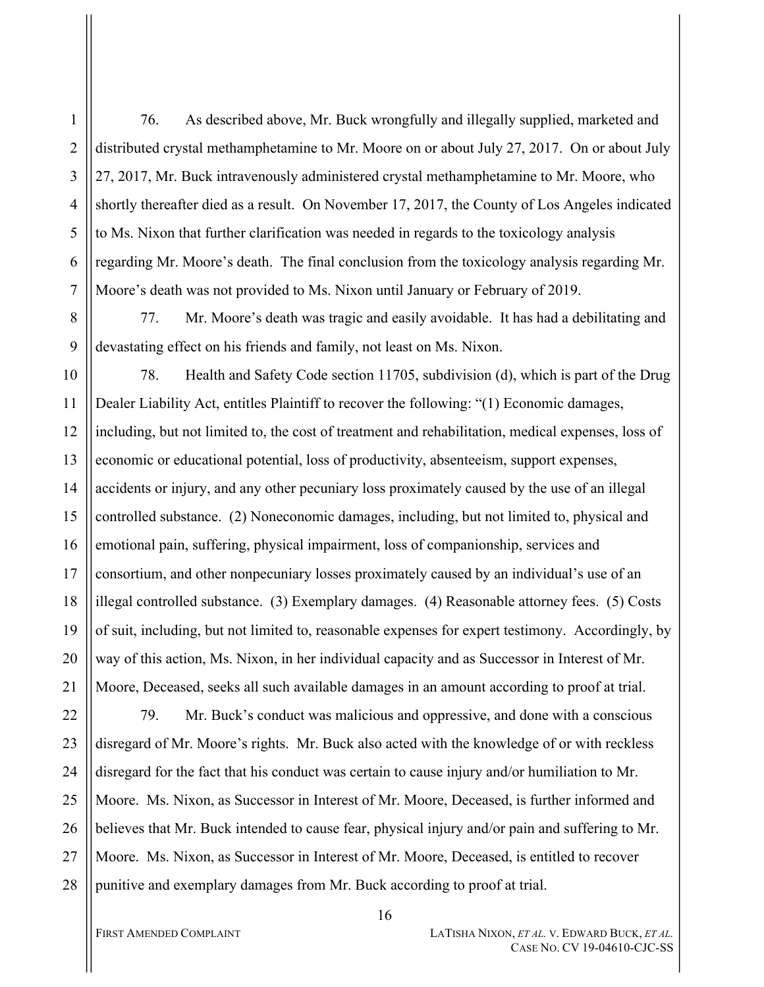76. As described above, Mr. Buck wrongfully and illegally supplied, marketed and distributed crystal methamphetamine to Mr. Moore on or about July 27, 2017. On or about July 27, 2017, Mr. Buck intravenously administered crystal methamphetamine to Mr. Moore, who shortly thereafter died as a result. On November 17, 2017, the County of Los Angeles indicated to Ms. Nixon that further clarification was needed in regards to the toxicology analysis regarding Mr. Moore's death. The final conclusion from the toxicology analysis regarding Mr. Moore's death was not provided to Ms. Nixon until January or February of 2019.

77. Mr. Moore's death was tragic and easily avoidable. It has had a debilitating and devastating effect on his friends and family, not least on Ms. Nixon.

10 11 12 13 14 15 16 17 18 19 20 21 78. Health and Safety Code section 11705, subdivision (d), which is part of the Drug Dealer Liability Act, entitles Plaintiff to recover the following: "(1) Economic damages, including, but not limited to, the cost of treatment and rehabilitation, medical expenses, loss of economic or educational potential, loss of productivity, absenteeism, support expenses, accidents or injury, and any other pecuniary loss proximately caused by the use of an illegal controlled substance. (2) Noneconomic damages, including, but not limited to, physical and emotional pain, suffering, physical impairment, loss of companionship, services and consortium, and other nonpecuniary losses proximately caused by an individual's use of an illegal controlled substance. (3) Exemplary damages. (4) Reasonable attorney fees. (5) Costs of suit, including, but not limited to, reasonable expenses for expert testimony. Accordingly, by way of this action, Ms. Nixon, in her individual capacity and as Successor in Interest of Mr. Moore, Deceased, seeks all such available damages in an amount according to proof at trial.

22 23 24 25 26 27 28 79. Mr. Buck's conduct was malicious and oppressive, and done with a conscious disregard of Mr. Moore's rights. Mr. Buck also acted with the knowledge of or with reckless disregard for the fact that his conduct was certain to cause injury and/or humiliation to Mr. Moore. Ms. Nixon, as Successor in Interest of Mr. Moore, Deceased, is further informed and believes that Mr. Buck intended to cause fear, physical injury and/or pain and suffering to Mr. Moore. Ms. Nixon, as Successor in Interest of Mr. Moore, Deceased, is entitled to recover punitive and exemplary damages from Mr. Buck according to proof at trial.

1

2

3

4

5

6

7

8

9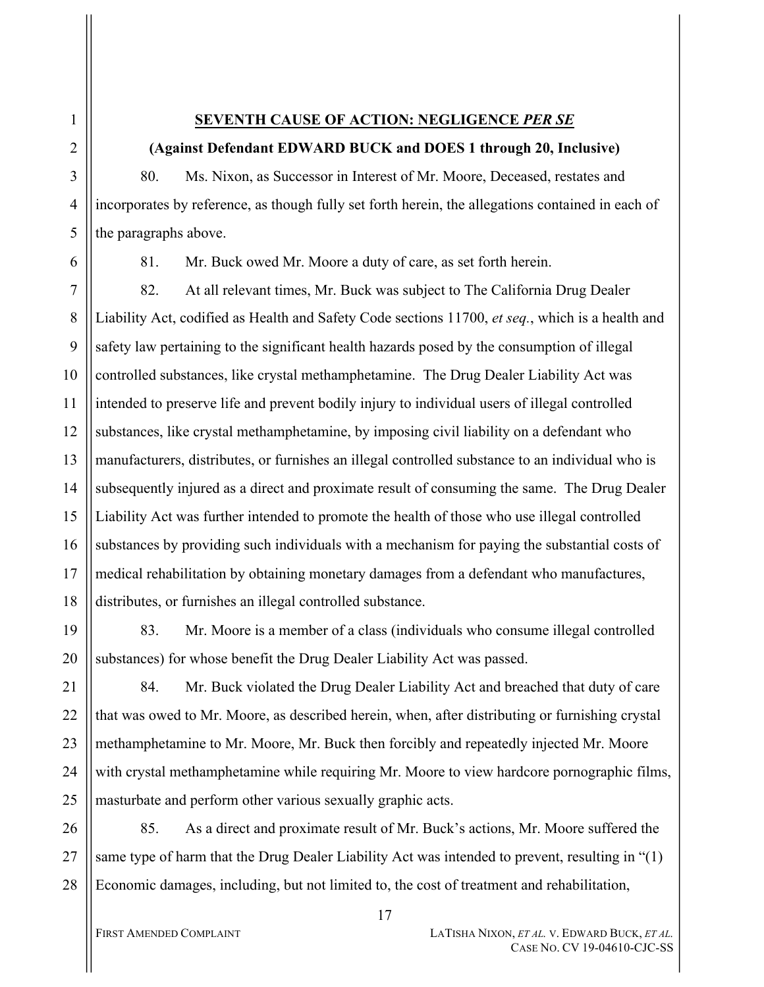### **SEVENTH CAUSE OF ACTION: NEGLIGENCE** *PER SE*

# **(Against Defendant EDWARD BUCK and DOES 1 through 20, Inclusive)**

80. Ms. Nixon, as Successor in Interest of Mr. Moore, Deceased, restates and incorporates by reference, as though fully set forth herein, the allegations contained in each of the paragraphs above.

1

2

3

4

5

6

81. Mr. Buck owed Mr. Moore a duty of care, as set forth herein.

7 8 9 10 11 12 13 14 15 16 17 18 82. At all relevant times, Mr. Buck was subject to The California Drug Dealer Liability Act, codified as Health and Safety Code sections 11700, *et seq.*, which is a health and safety law pertaining to the significant health hazards posed by the consumption of illegal controlled substances, like crystal methamphetamine. The Drug Dealer Liability Act was intended to preserve life and prevent bodily injury to individual users of illegal controlled substances, like crystal methamphetamine, by imposing civil liability on a defendant who manufacturers, distributes, or furnishes an illegal controlled substance to an individual who is subsequently injured as a direct and proximate result of consuming the same. The Drug Dealer Liability Act was further intended to promote the health of those who use illegal controlled substances by providing such individuals with a mechanism for paying the substantial costs of medical rehabilitation by obtaining monetary damages from a defendant who manufactures, distributes, or furnishes an illegal controlled substance.

19 20 83. Mr. Moore is a member of a class (individuals who consume illegal controlled substances) for whose benefit the Drug Dealer Liability Act was passed.

21 22 23 24 25 84. Mr. Buck violated the Drug Dealer Liability Act and breached that duty of care that was owed to Mr. Moore, as described herein, when, after distributing or furnishing crystal methamphetamine to Mr. Moore, Mr. Buck then forcibly and repeatedly injected Mr. Moore with crystal methamphetamine while requiring Mr. Moore to view hardcore pornographic films, masturbate and perform other various sexually graphic acts.

26 27 28 85. As a direct and proximate result of Mr. Buck's actions, Mr. Moore suffered the same type of harm that the Drug Dealer Liability Act was intended to prevent, resulting in "(1) Economic damages, including, but not limited to, the cost of treatment and rehabilitation,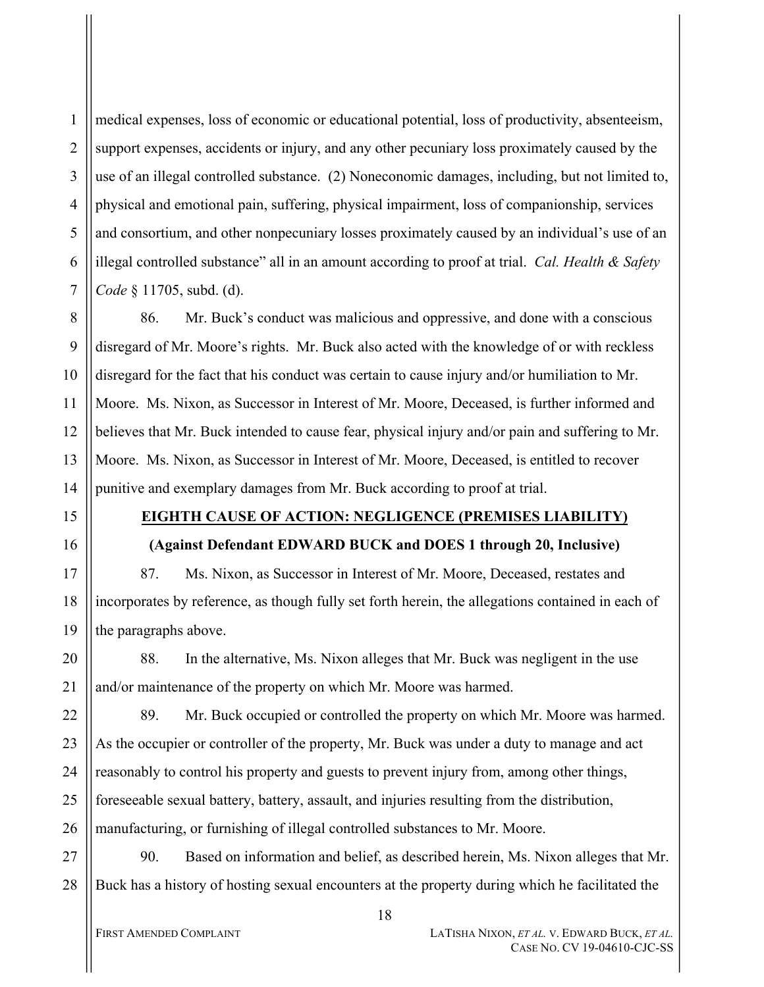medical expenses, loss of economic or educational potential, loss of productivity, absenteeism, support expenses, accidents or injury, and any other pecuniary loss proximately caused by the use of an illegal controlled substance. (2) Noneconomic damages, including, but not limited to, physical and emotional pain, suffering, physical impairment, loss of companionship, services and consortium, and other nonpecuniary losses proximately caused by an individual's use of an illegal controlled substance" all in an amount according to proof at trial. *Cal. Health & Safety Code* § 11705, subd. (d).

8 9 10 11 12 13 14 86. Mr. Buck's conduct was malicious and oppressive, and done with a conscious disregard of Mr. Moore's rights. Mr. Buck also acted with the knowledge of or with reckless disregard for the fact that his conduct was certain to cause injury and/or humiliation to Mr. Moore. Ms. Nixon, as Successor in Interest of Mr. Moore, Deceased, is further informed and believes that Mr. Buck intended to cause fear, physical injury and/or pain and suffering to Mr. Moore. Ms. Nixon, as Successor in Interest of Mr. Moore, Deceased, is entitled to recover punitive and exemplary damages from Mr. Buck according to proof at trial.

15

16

1

2

3

4

5

6

7

# **EIGHTH CAUSE OF ACTION: NEGLIGENCE (PREMISES LIABILITY)**

## **(Against Defendant EDWARD BUCK and DOES 1 through 20, Inclusive)**

17 18 19 87. Ms. Nixon, as Successor in Interest of Mr. Moore, Deceased, restates and incorporates by reference, as though fully set forth herein, the allegations contained in each of the paragraphs above.

20 21 88. In the alternative, Ms. Nixon alleges that Mr. Buck was negligent in the use and/or maintenance of the property on which Mr. Moore was harmed.

22 23 24 25 26 89. Mr. Buck occupied or controlled the property on which Mr. Moore was harmed. As the occupier or controller of the property, Mr. Buck was under a duty to manage and act reasonably to control his property and guests to prevent injury from, among other things, foreseeable sexual battery, battery, assault, and injuries resulting from the distribution, manufacturing, or furnishing of illegal controlled substances to Mr. Moore.

27 28 90. Based on information and belief, as described herein, Ms. Nixon alleges that Mr. Buck has a history of hosting sexual encounters at the property during which he facilitated the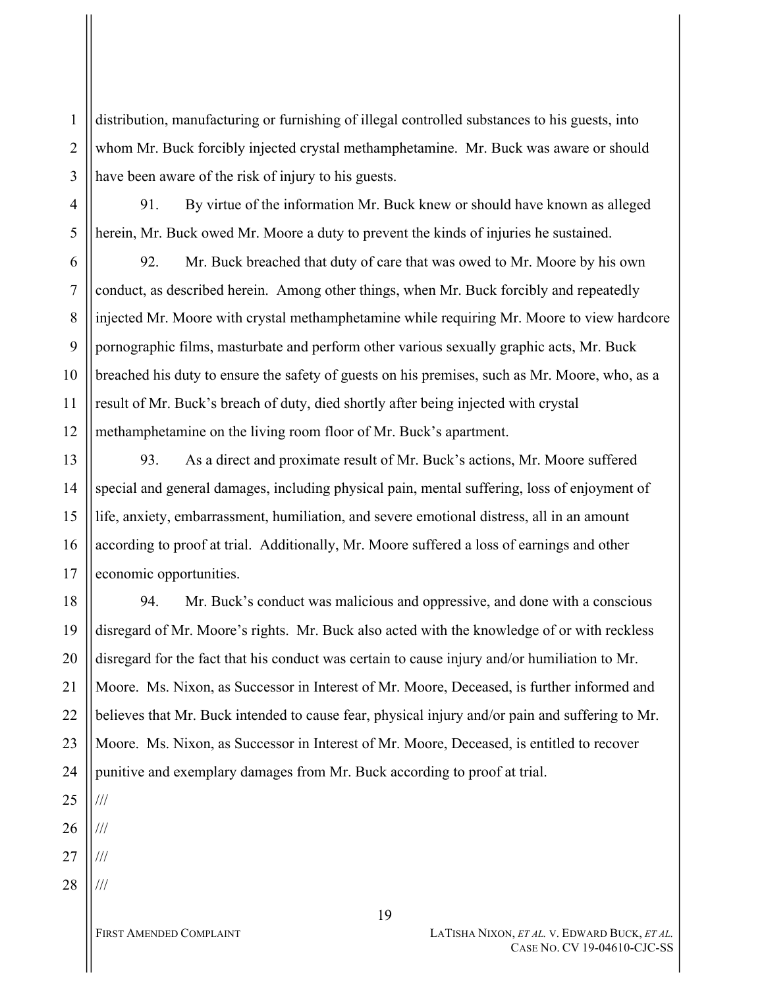distribution, manufacturing or furnishing of illegal controlled substances to his guests, into whom Mr. Buck forcibly injected crystal methamphetamine. Mr. Buck was aware or should have been aware of the risk of injury to his guests.

91. By virtue of the information Mr. Buck knew or should have known as alleged herein, Mr. Buck owed Mr. Moore a duty to prevent the kinds of injuries he sustained.

92. Mr. Buck breached that duty of care that was owed to Mr. Moore by his own conduct, as described herein. Among other things, when Mr. Buck forcibly and repeatedly injected Mr. Moore with crystal methamphetamine while requiring Mr. Moore to view hardcore pornographic films, masturbate and perform other various sexually graphic acts, Mr. Buck breached his duty to ensure the safety of guests on his premises, such as Mr. Moore, who, as a result of Mr. Buck's breach of duty, died shortly after being injected with crystal methamphetamine on the living room floor of Mr. Buck's apartment.

13 14 15 16 17 93. As a direct and proximate result of Mr. Buck's actions, Mr. Moore suffered special and general damages, including physical pain, mental suffering, loss of enjoyment of life, anxiety, embarrassment, humiliation, and severe emotional distress, all in an amount according to proof at trial. Additionally, Mr. Moore suffered a loss of earnings and other economic opportunities.

18 19 20 21 22 23 24 94. Mr. Buck's conduct was malicious and oppressive, and done with a conscious disregard of Mr. Moore's rights. Mr. Buck also acted with the knowledge of or with reckless disregard for the fact that his conduct was certain to cause injury and/or humiliation to Mr. Moore. Ms. Nixon, as Successor in Interest of Mr. Moore, Deceased, is further informed and believes that Mr. Buck intended to cause fear, physical injury and/or pain and suffering to Mr. Moore. Ms. Nixon, as Successor in Interest of Mr. Moore, Deceased, is entitled to recover punitive and exemplary damages from Mr. Buck according to proof at trial.

25

///

1

2

3

4

5

6

7

8

9

10

11

12

26 ///

27 ///

28 ///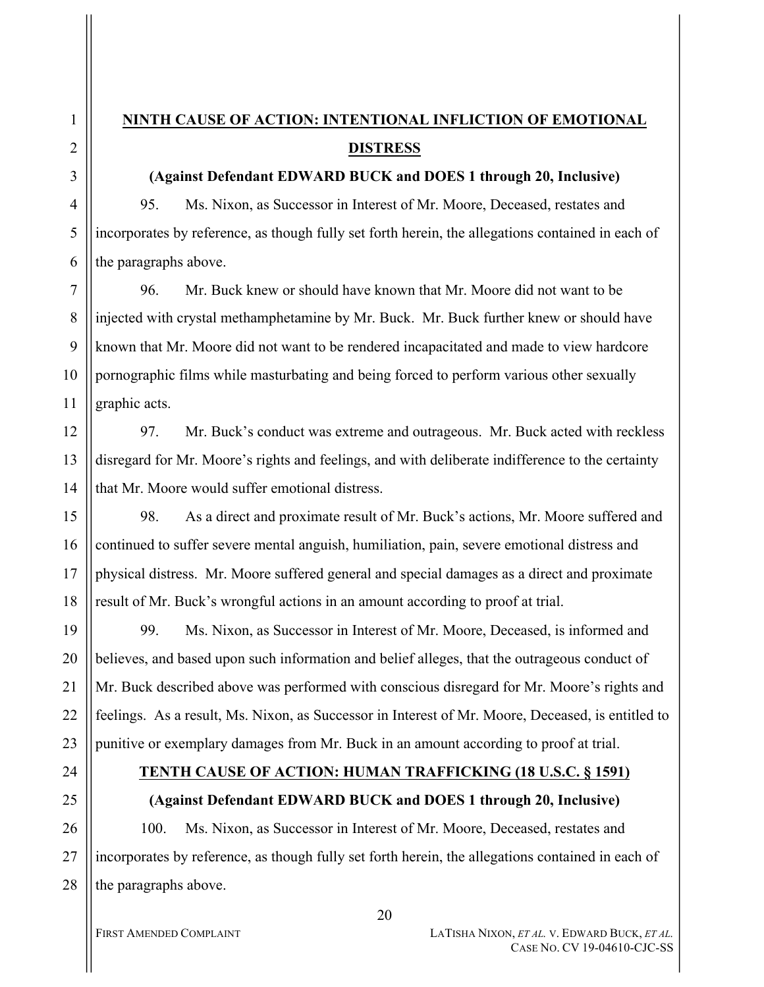1

2

# **NINTH CAUSE OF ACTION: INTENTIONAL INFLICTION OF EMOTIONAL DISTRESS**

### **(Against Defendant EDWARD BUCK and DOES 1 through 20, Inclusive)**

95. Ms. Nixon, as Successor in Interest of Mr. Moore, Deceased, restates and incorporates by reference, as though fully set forth herein, the allegations contained in each of the paragraphs above.

96. Mr. Buck knew or should have known that Mr. Moore did not want to be injected with crystal methamphetamine by Mr. Buck. Mr. Buck further knew or should have known that Mr. Moore did not want to be rendered incapacitated and made to view hardcore pornographic films while masturbating and being forced to perform various other sexually graphic acts.

97. Mr. Buck's conduct was extreme and outrageous. Mr. Buck acted with reckless disregard for Mr. Moore's rights and feelings, and with deliberate indifference to the certainty that Mr. Moore would suffer emotional distress.

98. As a direct and proximate result of Mr. Buck's actions, Mr. Moore suffered and continued to suffer severe mental anguish, humiliation, pain, severe emotional distress and physical distress. Mr. Moore suffered general and special damages as a direct and proximate result of Mr. Buck's wrongful actions in an amount according to proof at trial.

99. Ms. Nixon, as Successor in Interest of Mr. Moore, Deceased, is informed and believes, and based upon such information and belief alleges, that the outrageous conduct of Mr. Buck described above was performed with conscious disregard for Mr. Moore's rights and feelings. As a result, Ms. Nixon, as Successor in Interest of Mr. Moore, Deceased, is entitled to punitive or exemplary damages from Mr. Buck in an amount according to proof at trial.

# **TENTH CAUSE OF ACTION: HUMAN TRAFFICKING (18 U.S.C. § 1591)**

## **(Against Defendant EDWARD BUCK and DOES 1 through 20, Inclusive)**

100. Ms. Nixon, as Successor in Interest of Mr. Moore, Deceased, restates and incorporates by reference, as though fully set forth herein, the allegations contained in each of the paragraphs above.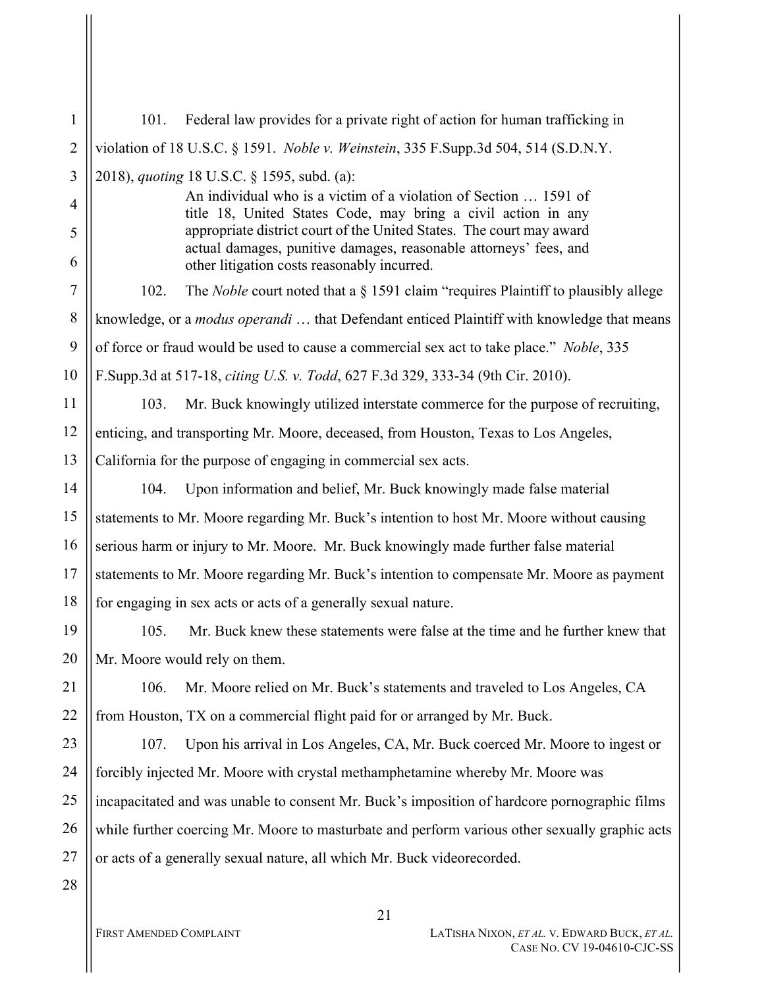1 2 3 4 5 6 7 8 9 10 11 12 13 14 15 16 17 18 19 20 21 22 23 24 25 26 27 28 101. Federal law provides for a private right of action for human trafficking in violation of 18 U.S.C. § 1591. *Noble v. Weinstein*, 335 F.Supp.3d 504, 514 (S.D.N.Y. 2018), *quoting* 18 U.S.C. § 1595, subd. (a): An individual who is a victim of a violation of Section … 1591 of title 18, United States Code, may bring a civil action in any appropriate district court of the United States. The court may award actual damages, punitive damages, reasonable attorneys' fees, and other litigation costs reasonably incurred. 102. The *Noble* court noted that a § 1591 claim "requires Plaintiff to plausibly allege knowledge, or a *modus operandi* … that Defendant enticed Plaintiff with knowledge that means of force or fraud would be used to cause a commercial sex act to take place." *Noble*, 335 F.Supp.3d at 517-18, *citing U.S. v. Todd*, 627 F.3d 329, 333-34 (9th Cir. 2010). 103. Mr. Buck knowingly utilized interstate commerce for the purpose of recruiting, enticing, and transporting Mr. Moore, deceased, from Houston, Texas to Los Angeles, California for the purpose of engaging in commercial sex acts. 104. Upon information and belief, Mr. Buck knowingly made false material statements to Mr. Moore regarding Mr. Buck's intention to host Mr. Moore without causing serious harm or injury to Mr. Moore. Mr. Buck knowingly made further false material statements to Mr. Moore regarding Mr. Buck's intention to compensate Mr. Moore as payment for engaging in sex acts or acts of a generally sexual nature. 105. Mr. Buck knew these statements were false at the time and he further knew that Mr. Moore would rely on them. 106. Mr. Moore relied on Mr. Buck's statements and traveled to Los Angeles, CA from Houston, TX on a commercial flight paid for or arranged by Mr. Buck. 107. Upon his arrival in Los Angeles, CA, Mr. Buck coerced Mr. Moore to ingest or forcibly injected Mr. Moore with crystal methamphetamine whereby Mr. Moore was incapacitated and was unable to consent Mr. Buck's imposition of hardcore pornographic films while further coercing Mr. Moore to masturbate and perform various other sexually graphic acts or acts of a generally sexual nature, all which Mr. Buck videorecorded.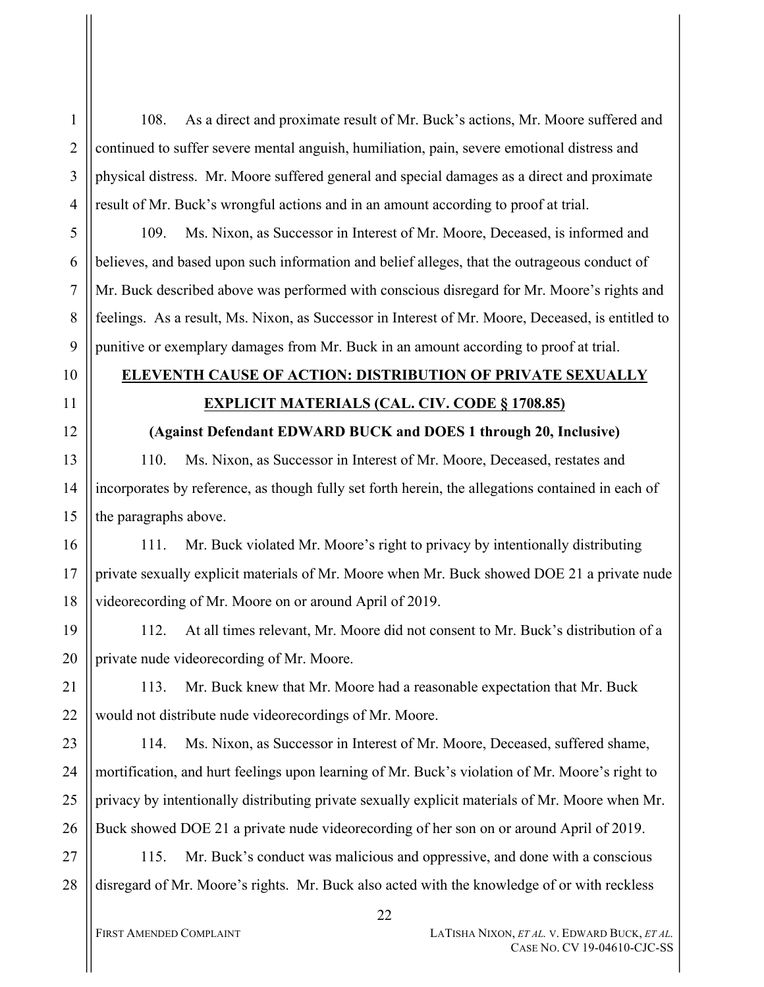108. As a direct and proximate result of Mr. Buck's actions, Mr. Moore suffered and continued to suffer severe mental anguish, humiliation, pain, severe emotional distress and physical distress. Mr. Moore suffered general and special damages as a direct and proximate result of Mr. Buck's wrongful actions and in an amount according to proof at trial.

109. Ms. Nixon, as Successor in Interest of Mr. Moore, Deceased, is informed and believes, and based upon such information and belief alleges, that the outrageous conduct of Mr. Buck described above was performed with conscious disregard for Mr. Moore's rights and feelings. As a result, Ms. Nixon, as Successor in Interest of Mr. Moore, Deceased, is entitled to punitive or exemplary damages from Mr. Buck in an amount according to proof at trial.

#### 11

1

2

3

4

5

6

7

8

9

10

12

13

14

15

# **ELEVENTH CAUSE OF ACTION: DISTRIBUTION OF PRIVATE SEXUALLY EXPLICIT MATERIALS (CAL. CIV. CODE § 1708.85)**

## **(Against Defendant EDWARD BUCK and DOES 1 through 20, Inclusive)**

110. Ms. Nixon, as Successor in Interest of Mr. Moore, Deceased, restates and incorporates by reference, as though fully set forth herein, the allegations contained in each of the paragraphs above.

16 17 18 111. Mr. Buck violated Mr. Moore's right to privacy by intentionally distributing private sexually explicit materials of Mr. Moore when Mr. Buck showed DOE 21 a private nude videorecording of Mr. Moore on or around April of 2019.

19 20 112. At all times relevant, Mr. Moore did not consent to Mr. Buck's distribution of a private nude videorecording of Mr. Moore.

21 22 113. Mr. Buck knew that Mr. Moore had a reasonable expectation that Mr. Buck would not distribute nude videorecordings of Mr. Moore.

23 24 25 26 114. Ms. Nixon, as Successor in Interest of Mr. Moore, Deceased, suffered shame, mortification, and hurt feelings upon learning of Mr. Buck's violation of Mr. Moore's right to privacy by intentionally distributing private sexually explicit materials of Mr. Moore when Mr. Buck showed DOE 21 a private nude videorecording of her son on or around April of 2019.

27 28 115. Mr. Buck's conduct was malicious and oppressive, and done with a conscious disregard of Mr. Moore's rights. Mr. Buck also acted with the knowledge of or with reckless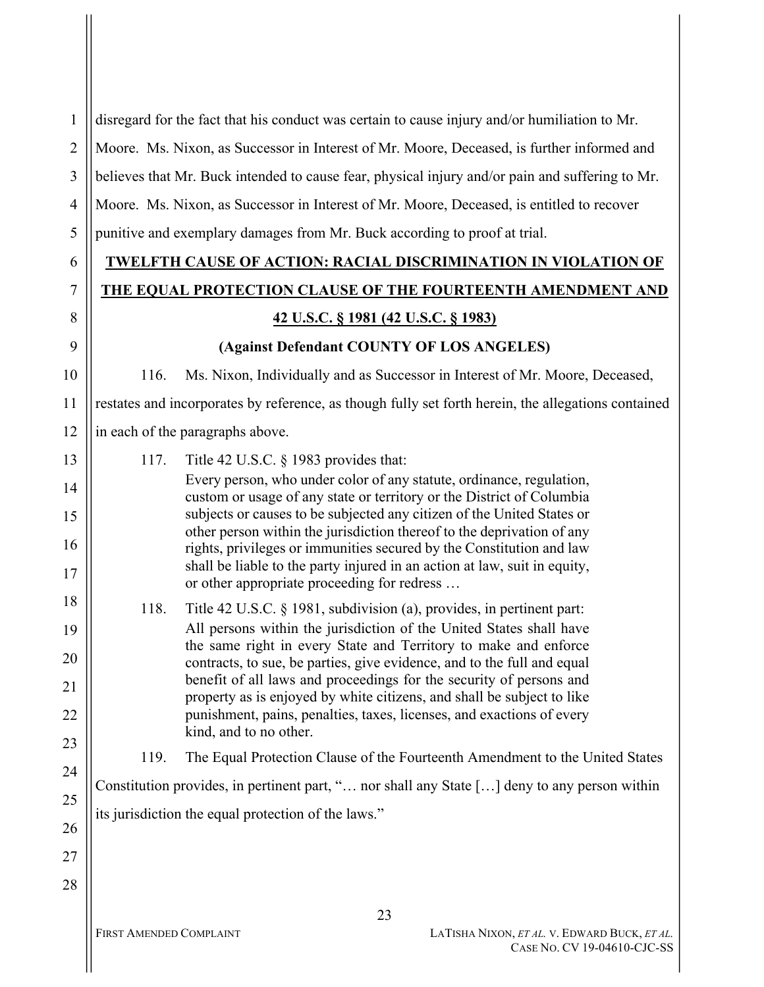1 2 3 4 5 disregard for the fact that his conduct was certain to cause injury and/or humiliation to Mr. Moore. Ms. Nixon, as Successor in Interest of Mr. Moore, Deceased, is further informed and believes that Mr. Buck intended to cause fear, physical injury and/or pain and suffering to Mr. Moore. Ms. Nixon, as Successor in Interest of Mr. Moore, Deceased, is entitled to recover punitive and exemplary damages from Mr. Buck according to proof at trial.

# **TWELFTH CAUSE OF ACTION: RACIAL DISCRIMINATION IN VIOLATION OF THE EQUAL PROTECTION CLAUSE OF THE FOURTEENTH AMENDMENT AND**

## **42 U.S.C. § 1981 (42 U.S.C. § 1983)**

## **(Against Defendant COUNTY OF LOS ANGELES)**

116. Ms. Nixon, Individually and as Successor in Interest of Mr. Moore, Deceased,

11 12 restates and incorporates by reference, as though fully set forth herein, the allegations contained in each of the paragraphs above.

| 13 | 117. | Title 42 U.S.C. $\S$ 1983 provides that:                                                                                                       |
|----|------|------------------------------------------------------------------------------------------------------------------------------------------------|
| 14 |      | Every person, who under color of any statute, ordinance, regulation,<br>custom or usage of any state or territory or the District of Columbia  |
| 15 |      | subjects or causes to be subjected any citizen of the United States or                                                                         |
| 16 |      | other person within the jurisdiction thereof to the deprivation of any<br>rights, privileges or immunities secured by the Constitution and law |
| 17 |      | shall be liable to the party injured in an action at law, suit in equity,<br>or other appropriate proceeding for redress                       |
| 18 | 118. | Title 42 U.S.C. § 1981, subdivision (a), provides, in pertinent part:                                                                          |
| 19 |      | All persons within the jurisdiction of the United States shall have                                                                            |
| 20 |      | the same right in every State and Territory to make and enforce<br>contracts, to sue, be parties, give evidence, and to the full and equal     |
| 21 |      | benefit of all laws and proceedings for the security of persons and<br>property as is enjoyed by white citizens, and shall be subject to like  |
| 22 |      | punishment, pains, penalties, taxes, licenses, and exactions of every                                                                          |
| 23 |      | kind, and to no other.                                                                                                                         |
| 24 | 119. | The Equal Protection Clause of the Fourteenth Amendment to the United States                                                                   |
| 25 |      | Constitution provides, in pertinent part, " nor shall any State [] deny to any person within                                                   |
| 26 |      | its jurisdiction the equal protection of the laws."                                                                                            |
| 27 |      |                                                                                                                                                |
| 28 |      |                                                                                                                                                |
|    |      | 23                                                                                                                                             |
|    |      |                                                                                                                                                |

6

7

8

9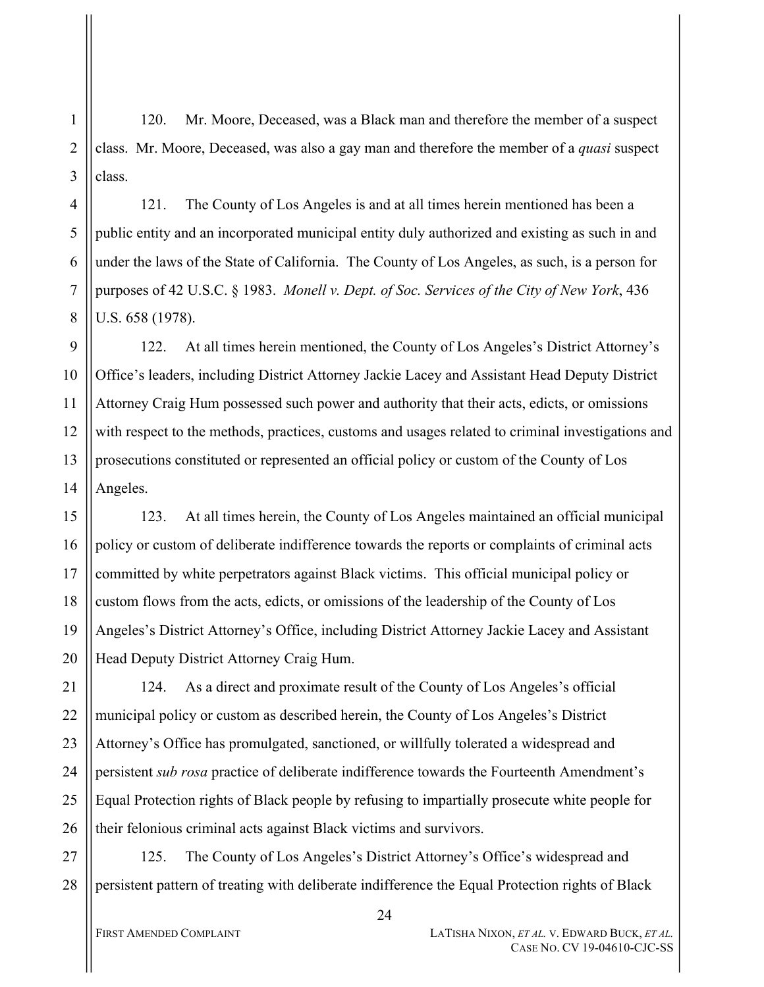120. Mr. Moore, Deceased, was a Black man and therefore the member of a suspect class. Mr. Moore, Deceased, was also a gay man and therefore the member of a *quasi* suspect class.

121. The County of Los Angeles is and at all times herein mentioned has been a public entity and an incorporated municipal entity duly authorized and existing as such in and under the laws of the State of California. The County of Los Angeles, as such, is a person for purposes of 42 U.S.C. § 1983. *Monell v. Dept. of Soc. Services of the City of New York*, 436 U.S. 658 (1978).

9 10 11 12 13 14 122. At all times herein mentioned, the County of Los Angeles's District Attorney's Office's leaders, including District Attorney Jackie Lacey and Assistant Head Deputy District Attorney Craig Hum possessed such power and authority that their acts, edicts, or omissions with respect to the methods, practices, customs and usages related to criminal investigations and prosecutions constituted or represented an official policy or custom of the County of Los Angeles.

15 16 17 18 19 20 123. At all times herein, the County of Los Angeles maintained an official municipal policy or custom of deliberate indifference towards the reports or complaints of criminal acts committed by white perpetrators against Black victims. This official municipal policy or custom flows from the acts, edicts, or omissions of the leadership of the County of Los Angeles's District Attorney's Office, including District Attorney Jackie Lacey and Assistant Head Deputy District Attorney Craig Hum.

21 22 23 24 25 26 124. As a direct and proximate result of the County of Los Angeles's official municipal policy or custom as described herein, the County of Los Angeles's District Attorney's Office has promulgated, sanctioned, or willfully tolerated a widespread and persistent *sub rosa* practice of deliberate indifference towards the Fourteenth Amendment's Equal Protection rights of Black people by refusing to impartially prosecute white people for their felonious criminal acts against Black victims and survivors.

27 28 125. The County of Los Angeles's District Attorney's Office's widespread and persistent pattern of treating with deliberate indifference the Equal Protection rights of Black

1

2

3

4

5

6

7

8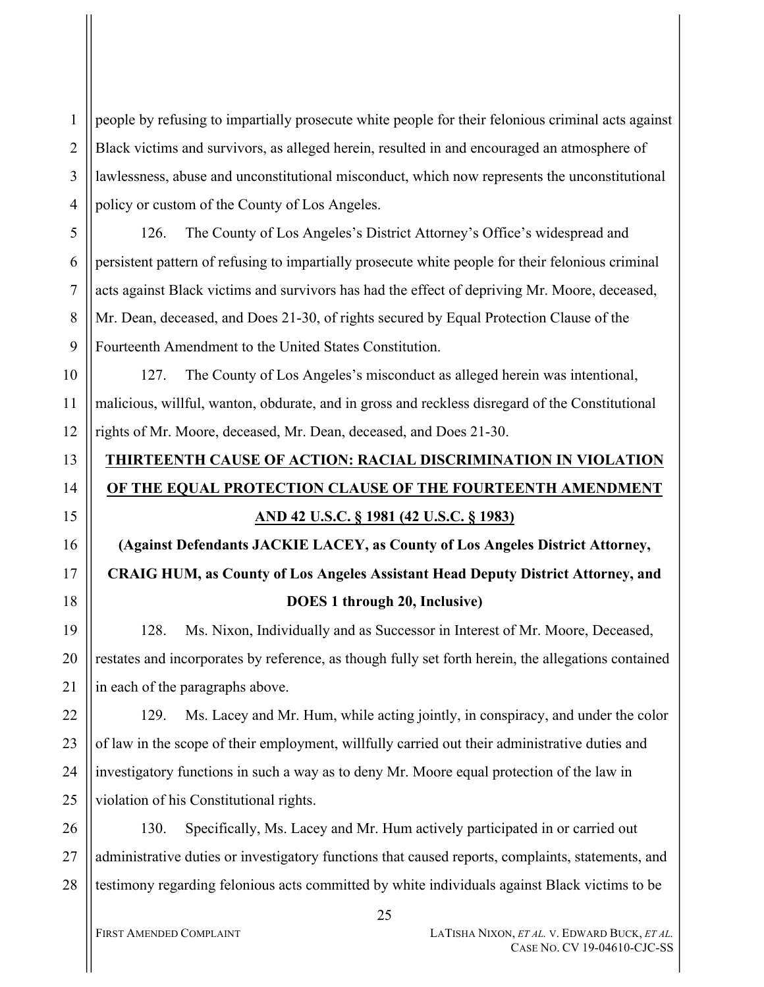people by refusing to impartially prosecute white people for their felonious criminal acts against Black victims and survivors, as alleged herein, resulted in and encouraged an atmosphere of lawlessness, abuse and unconstitutional misconduct, which now represents the unconstitutional policy or custom of the County of Los Angeles.

126. The County of Los Angeles's District Attorney's Office's widespread and persistent pattern of refusing to impartially prosecute white people for their felonious criminal acts against Black victims and survivors has had the effect of depriving Mr. Moore, deceased, Mr. Dean, deceased, and Does 21-30, of rights secured by Equal Protection Clause of the Fourteenth Amendment to the United States Constitution.

127. The County of Los Angeles's misconduct as alleged herein was intentional, malicious, willful, wanton, obdurate, and in gross and reckless disregard of the Constitutional rights of Mr. Moore, deceased, Mr. Dean, deceased, and Does 21-30.

# **THIRTEENTH CAUSE OF ACTION: RACIAL DISCRIMINATION IN VIOLATION OF THE EQUAL PROTECTION CLAUSE OF THE FOURTEENTH AMENDMENT AND 42 U.S.C. § 1981 (42 U.S.C. § 1983)**

# **(Against Defendants JACKIE LACEY, as County of Los Angeles District Attorney, CRAIG HUM, as County of Los Angeles Assistant Head Deputy District Attorney, and DOES 1 through 20, Inclusive)**

128. Ms. Nixon, Individually and as Successor in Interest of Mr. Moore, Deceased, restates and incorporates by reference, as though fully set forth herein, the allegations contained in each of the paragraphs above.

22 23 24 25 129. Ms. Lacey and Mr. Hum, while acting jointly, in conspiracy, and under the color of law in the scope of their employment, willfully carried out their administrative duties and investigatory functions in such a way as to deny Mr. Moore equal protection of the law in violation of his Constitutional rights.

26 27 28 130. Specifically, Ms. Lacey and Mr. Hum actively participated in or carried out administrative duties or investigatory functions that caused reports, complaints, statements, and testimony regarding felonious acts committed by white individuals against Black victims to be

1

2

3

4

5

6

7

8

9

10

11

12

13

14

15

16

17

18

19

20

21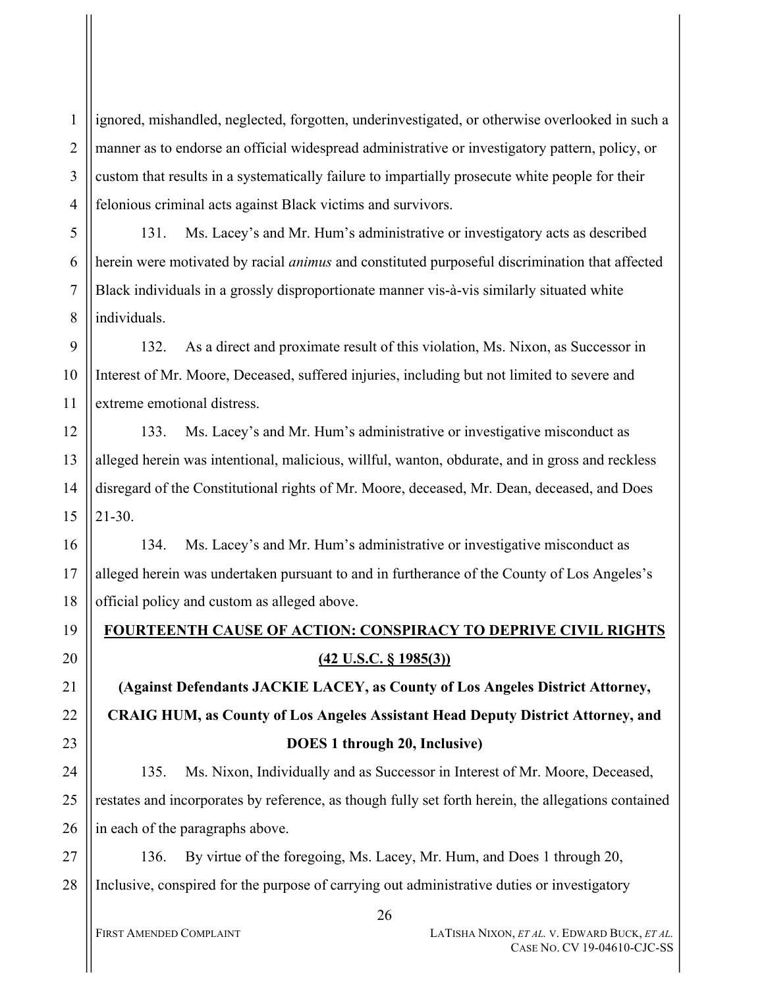1 2 3 4 ignored, mishandled, neglected, forgotten, underinvestigated, or otherwise overlooked in such a manner as to endorse an official widespread administrative or investigatory pattern, policy, or custom that results in a systematically failure to impartially prosecute white people for their felonious criminal acts against Black victims and survivors.

131. Ms. Lacey's and Mr. Hum's administrative or investigatory acts as described herein were motivated by racial *animus* and constituted purposeful discrimination that affected Black individuals in a grossly disproportionate manner vis-à-vis similarly situated white individuals.

9 10 11 132. As a direct and proximate result of this violation, Ms. Nixon, as Successor in Interest of Mr. Moore, Deceased, suffered injuries, including but not limited to severe and extreme emotional distress.

12 13 14 15 133. Ms. Lacey's and Mr. Hum's administrative or investigative misconduct as alleged herein was intentional, malicious, willful, wanton, obdurate, and in gross and reckless disregard of the Constitutional rights of Mr. Moore, deceased, Mr. Dean, deceased, and Does 21-30.

16 17 18 134. Ms. Lacey's and Mr. Hum's administrative or investigative misconduct as alleged herein was undertaken pursuant to and in furtherance of the County of Los Angeles's official policy and custom as alleged above.

# **FOURTEENTH CAUSE OF ACTION: CONSPIRACY TO DEPRIVE CIVIL RIGHTS (42 U.S.C. § 1985(3))**

**(Against Defendants JACKIE LACEY, as County of Los Angeles District Attorney, CRAIG HUM, as County of Los Angeles Assistant Head Deputy District Attorney, and DOES 1 through 20, Inclusive)**

135. Ms. Nixon, Individually and as Successor in Interest of Mr. Moore, Deceased, restates and incorporates by reference, as though fully set forth herein, the allegations contained in each of the paragraphs above.

27 28 136. By virtue of the foregoing, Ms. Lacey, Mr. Hum, and Does 1 through 20, Inclusive, conspired for the purpose of carrying out administrative duties or investigatory

5

6

7

8

19

20

21

22

23

24

25

26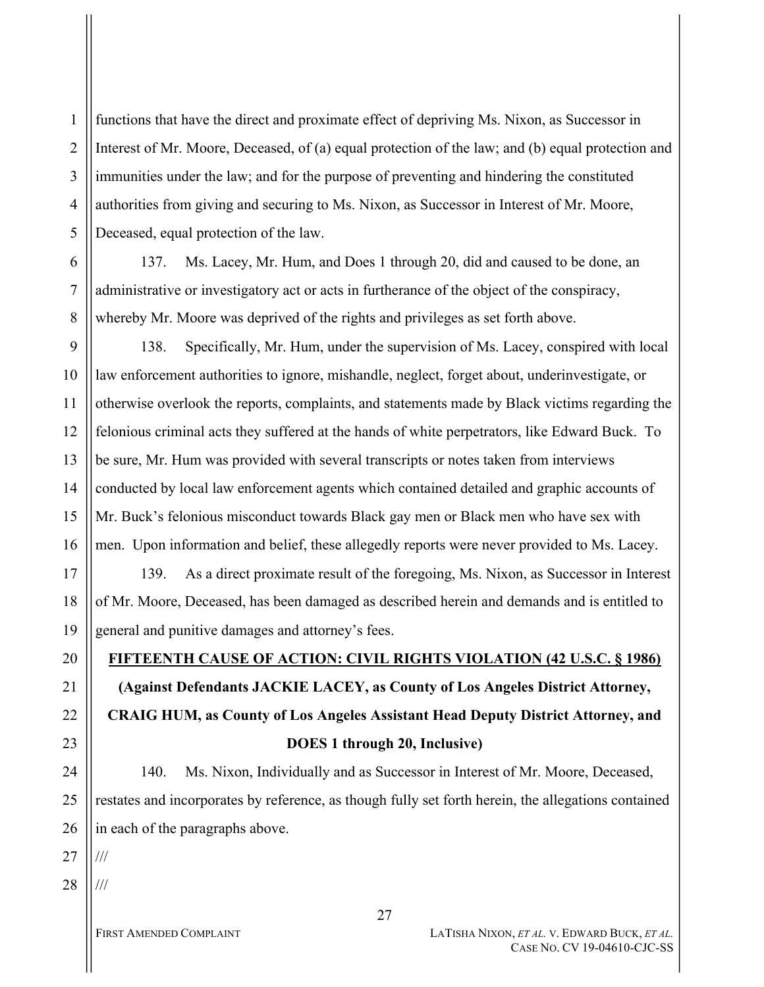functions that have the direct and proximate effect of depriving Ms. Nixon, as Successor in Interest of Mr. Moore, Deceased, of (a) equal protection of the law; and (b) equal protection and immunities under the law; and for the purpose of preventing and hindering the constituted authorities from giving and securing to Ms. Nixon, as Successor in Interest of Mr. Moore, Deceased, equal protection of the law.

6 7 8 137. Ms. Lacey, Mr. Hum, and Does 1 through 20, did and caused to be done, an administrative or investigatory act or acts in furtherance of the object of the conspiracy, whereby Mr. Moore was deprived of the rights and privileges as set forth above.

9 10 11 12 13 14 15 16 138. Specifically, Mr. Hum, under the supervision of Ms. Lacey, conspired with local law enforcement authorities to ignore, mishandle, neglect, forget about, underinvestigate, or otherwise overlook the reports, complaints, and statements made by Black victims regarding the felonious criminal acts they suffered at the hands of white perpetrators, like Edward Buck. To be sure, Mr. Hum was provided with several transcripts or notes taken from interviews conducted by local law enforcement agents which contained detailed and graphic accounts of Mr. Buck's felonious misconduct towards Black gay men or Black men who have sex with men. Upon information and belief, these allegedly reports were never provided to Ms. Lacey.

17 18 19 139. As a direct proximate result of the foregoing, Ms. Nixon, as Successor in Interest of Mr. Moore, Deceased, has been damaged as described herein and demands and is entitled to general and punitive damages and attorney's fees.

20

21

22

23

24

25

26

1

2

3

4

5

**FIFTEENTH CAUSE OF ACTION: CIVIL RIGHTS VIOLATION (42 U.S.C. § 1986) (Against Defendants JACKIE LACEY, as County of Los Angeles District Attorney, CRAIG HUM, as County of Los Angeles Assistant Head Deputy District Attorney, and DOES 1 through 20, Inclusive)**

140. Ms. Nixon, Individually and as Successor in Interest of Mr. Moore, Deceased, restates and incorporates by reference, as though fully set forth herein, the allegations contained in each of the paragraphs above.

27 ///

28 ///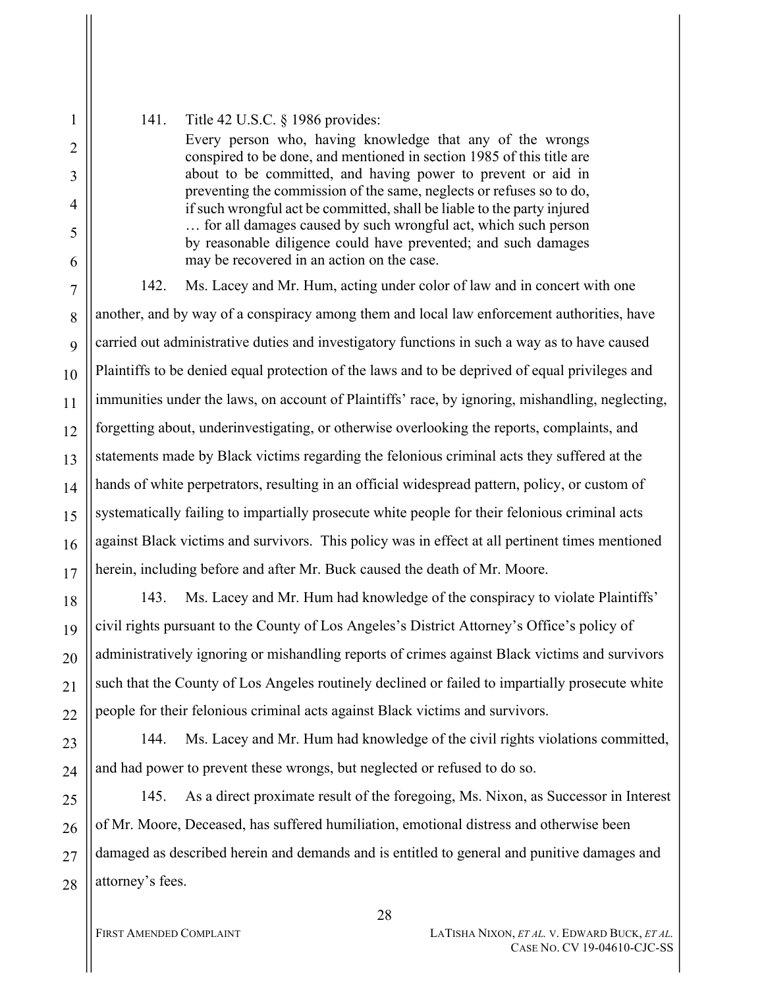#### 141. Title 42 U.S.C. § 1986 provides:

1

2

3

4

5

6

18

19

20

21

22

23

24

Every person who, having knowledge that any of the wrongs conspired to be done, and mentioned in section 1985 of this title are about to be committed, and having power to prevent or aid in preventing the commission of the same, neglects or refuses so to do, if such wrongful act be committed, shall be liable to the party injured … for all damages caused by such wrongful act, which such person by reasonable diligence could have prevented; and such damages may be recovered in an action on the case.

7 8 9 10 11 12 13 14 15 16 17 142. Ms. Lacey and Mr. Hum, acting under color of law and in concert with one another, and by way of a conspiracy among them and local law enforcement authorities, have carried out administrative duties and investigatory functions in such a way as to have caused Plaintiffs to be denied equal protection of the laws and to be deprived of equal privileges and immunities under the laws, on account of Plaintiffs' race, by ignoring, mishandling, neglecting, forgetting about, underinvestigating, or otherwise overlooking the reports, complaints, and statements made by Black victims regarding the felonious criminal acts they suffered at the hands of white perpetrators, resulting in an official widespread pattern, policy, or custom of systematically failing to impartially prosecute white people for their felonious criminal acts against Black victims and survivors. This policy was in effect at all pertinent times mentioned herein, including before and after Mr. Buck caused the death of Mr. Moore.

143. Ms. Lacey and Mr. Hum had knowledge of the conspiracy to violate Plaintiffs' civil rights pursuant to the County of Los Angeles's District Attorney's Office's policy of administratively ignoring or mishandling reports of crimes against Black victims and survivors such that the County of Los Angeles routinely declined or failed to impartially prosecute white people for their felonious criminal acts against Black victims and survivors.

144. Ms. Lacey and Mr. Hum had knowledge of the civil rights violations committed, and had power to prevent these wrongs, but neglected or refused to do so.

25 26 27 28 145. As a direct proximate result of the foregoing, Ms. Nixon, as Successor in Interest of Mr. Moore, Deceased, has suffered humiliation, emotional distress and otherwise been damaged as described herein and demands and is entitled to general and punitive damages and attorney's fees.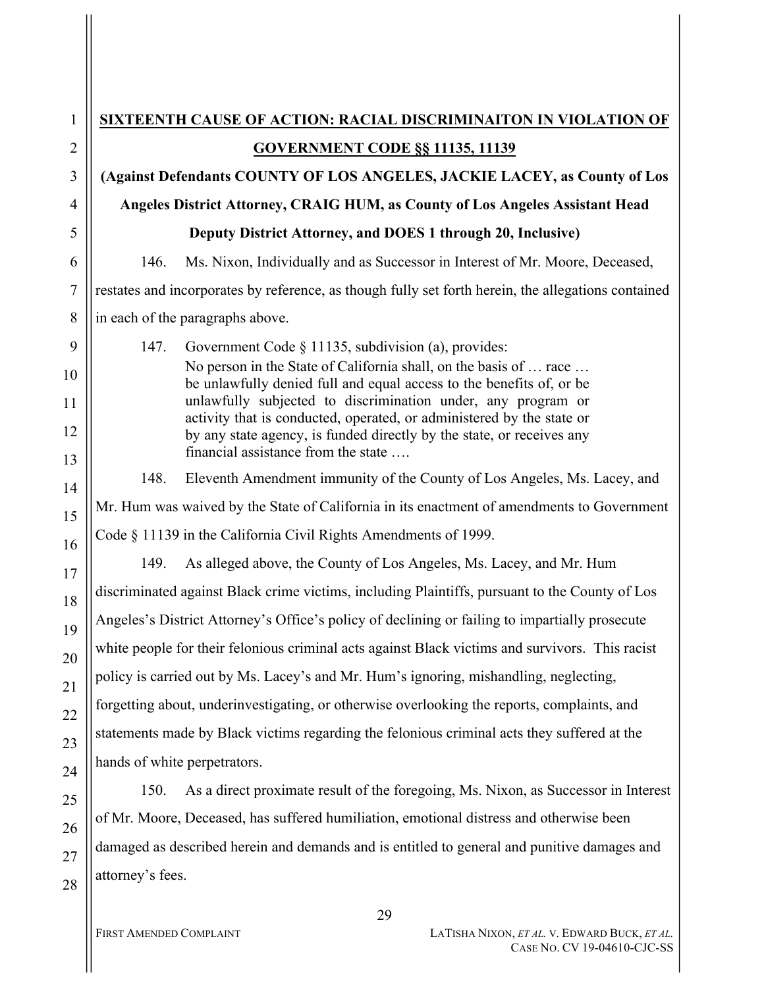| $\mathbf{1}$   |                                                                                                | SIXTEENTH CAUSE OF ACTION: RACIAL DISCRIMINAITON IN VIOLATION OF                                                                          |  |
|----------------|------------------------------------------------------------------------------------------------|-------------------------------------------------------------------------------------------------------------------------------------------|--|
| $\overline{2}$ | <b>GOVERNMENT CODE §§ 11135, 11139</b>                                                         |                                                                                                                                           |  |
| 3              |                                                                                                | (Against Defendants COUNTY OF LOS ANGELES, JACKIE LACEY, as County of Los                                                                 |  |
| $\overline{4}$ |                                                                                                | Angeles District Attorney, CRAIG HUM, as County of Los Angeles Assistant Head                                                             |  |
| 5              |                                                                                                | Deputy District Attorney, and DOES 1 through 20, Inclusive)                                                                               |  |
| 6              | 146.                                                                                           | Ms. Nixon, Individually and as Successor in Interest of Mr. Moore, Deceased,                                                              |  |
| $\overline{7}$ |                                                                                                | restates and incorporates by reference, as though fully set forth herein, the allegations contained                                       |  |
| 8              | in each of the paragraphs above.                                                               |                                                                                                                                           |  |
| 9              | 147.                                                                                           | Government Code $\S$ 11135, subdivision (a), provides:                                                                                    |  |
| 10             |                                                                                                | No person in the State of California shall, on the basis of  race<br>be unlawfully denied full and equal access to the benefits of, or be |  |
| 11             |                                                                                                | unlawfully subjected to discrimination under, any program or<br>activity that is conducted, operated, or administered by the state or     |  |
| 12             |                                                                                                | by any state agency, is funded directly by the state, or receives any                                                                     |  |
| 13             |                                                                                                | financial assistance from the state                                                                                                       |  |
| 14             | 148.                                                                                           | Eleventh Amendment immunity of the County of Los Angeles, Ms. Lacey, and                                                                  |  |
| 15             |                                                                                                | Mr. Hum was waived by the State of California in its enactment of amendments to Government                                                |  |
| 16             |                                                                                                | Code § 11139 in the California Civil Rights Amendments of 1999.                                                                           |  |
| 17             | 149.                                                                                           | As alleged above, the County of Los Angeles, Ms. Lacey, and Mr. Hum                                                                       |  |
| 18             |                                                                                                | discriminated against Black crime victims, including Plaintiffs, pursuant to the County of Los                                            |  |
| 19             | Angeles's District Attorney's Office's policy of declining or failing to impartially prosecute |                                                                                                                                           |  |
| 20             |                                                                                                | white people for their felonious criminal acts against Black victims and survivors. This racist                                           |  |
| 21             |                                                                                                | policy is carried out by Ms. Lacey's and Mr. Hum's ignoring, mishandling, neglecting,                                                     |  |
| 22             |                                                                                                | forgetting about, underinvestigating, or otherwise overlooking the reports, complaints, and                                               |  |
| 23             |                                                                                                | statements made by Black victims regarding the felonious criminal acts they suffered at the                                               |  |
| 24             | hands of white perpetrators.                                                                   |                                                                                                                                           |  |
| 25             | 150.                                                                                           | As a direct proximate result of the foregoing, Ms. Nixon, as Successor in Interest                                                        |  |
| 26             | of Mr. Moore, Deceased, has suffered humiliation, emotional distress and otherwise been        |                                                                                                                                           |  |
| 27             | damaged as described herein and demands and is entitled to general and punitive damages and    |                                                                                                                                           |  |
| 28             | attorney's fees.                                                                               |                                                                                                                                           |  |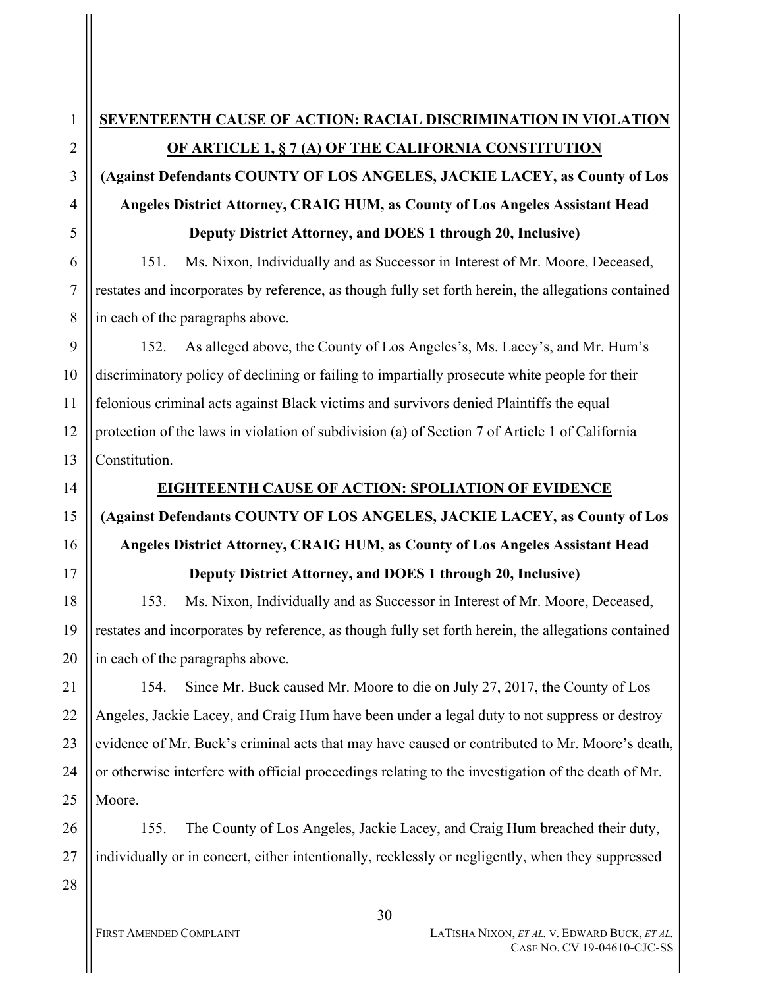# **(Against Defendants COUNTY OF LOS ANGELES, JACKIE LACEY, as County of Los Angeles District Attorney, CRAIG HUM, as County of Los Angeles Assistant Head Deputy District Attorney, and DOES 1 through 20, Inclusive)**

151. Ms. Nixon, Individually and as Successor in Interest of Mr. Moore, Deceased, restates and incorporates by reference, as though fully set forth herein, the allegations contained in each of the paragraphs above.

152. As alleged above, the County of Los Angeles's, Ms. Lacey's, and Mr. Hum's discriminatory policy of declining or failing to impartially prosecute white people for their felonious criminal acts against Black victims and survivors denied Plaintiffs the equal protection of the laws in violation of subdivision (a) of Section 7 of Article 1 of California Constitution.

# **EIGHTEENTH CAUSE OF ACTION: SPOLIATION OF EVIDENCE (Against Defendants COUNTY OF LOS ANGELES, JACKIE LACEY, as County of Los Angeles District Attorney, CRAIG HUM, as County of Los Angeles Assistant Head Deputy District Attorney, and DOES 1 through 20, Inclusive)**

153. Ms. Nixon, Individually and as Successor in Interest of Mr. Moore, Deceased, restates and incorporates by reference, as though fully set forth herein, the allegations contained in each of the paragraphs above.

154. Since Mr. Buck caused Mr. Moore to die on July 27, 2017, the County of Los Angeles, Jackie Lacey, and Craig Hum have been under a legal duty to not suppress or destroy evidence of Mr. Buck's criminal acts that may have caused or contributed to Mr. Moore's death, or otherwise interfere with official proceedings relating to the investigation of the death of Mr. Moore.

155. The County of Los Angeles, Jackie Lacey, and Craig Hum breached their duty, individually or in concert, either intentionally, recklessly or negligently, when they suppressed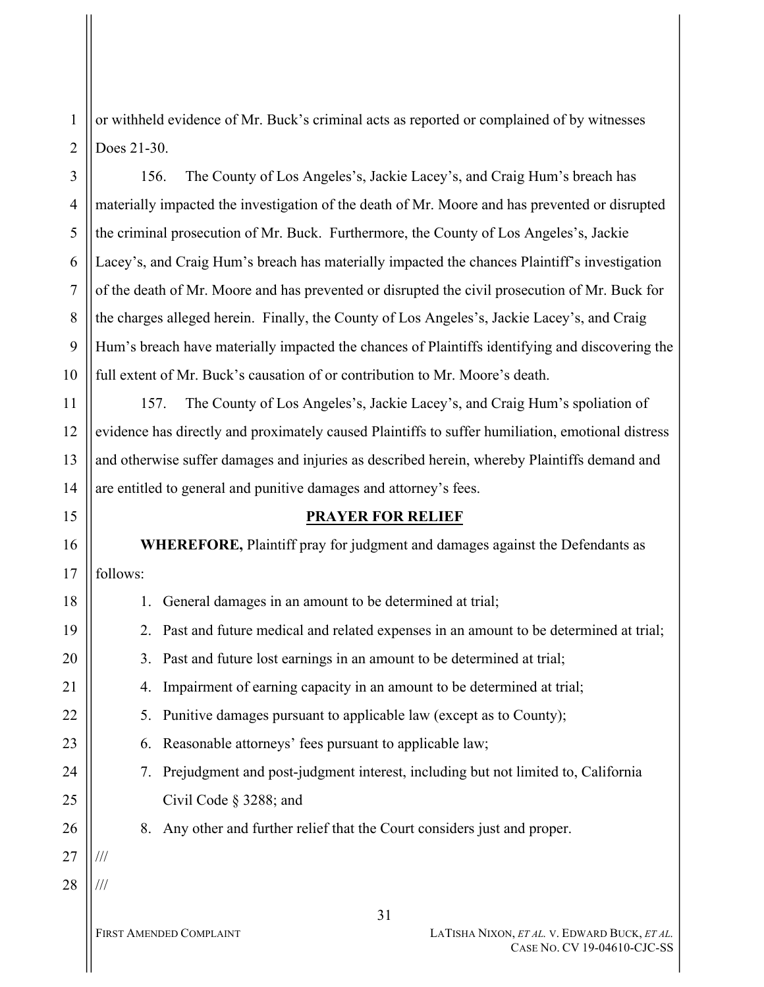or withheld evidence of Mr. Buck's criminal acts as reported or complained of by witnesses Does 21-30.

156. The County of Los Angeles's, Jackie Lacey's, and Craig Hum's breach has materially impacted the investigation of the death of Mr. Moore and has prevented or disrupted the criminal prosecution of Mr. Buck. Furthermore, the County of Los Angeles's, Jackie Lacey's, and Craig Hum's breach has materially impacted the chances Plaintiff's investigation of the death of Mr. Moore and has prevented or disrupted the civil prosecution of Mr. Buck for the charges alleged herein. Finally, the County of Los Angeles's, Jackie Lacey's, and Craig Hum's breach have materially impacted the chances of Plaintiffs identifying and discovering the full extent of Mr. Buck's causation of or contribution to Mr. Moore's death.

157. The County of Los Angeles's, Jackie Lacey's, and Craig Hum's spoliation of evidence has directly and proximately caused Plaintiffs to suffer humiliation, emotional distress and otherwise suffer damages and injuries as described herein, whereby Plaintiffs demand and are entitled to general and punitive damages and attorney's fees.

### **PRAYER FOR RELIEF**

**WHEREFORE,** Plaintiff pray for judgment and damages against the Defendants as follows:

31 FIRST AMENDED COMPLAINT **LATISHA NIXON**, *ET AL.* V. EDWARD BUCK, *ET AL.* 18 19 20 21 22 23 24 25 26 27 28 1. General damages in an amount to be determined at trial; 2. Past and future medical and related expenses in an amount to be determined at trial; 3. Past and future lost earnings in an amount to be determined at trial; 4. Impairment of earning capacity in an amount to be determined at trial; 5. Punitive damages pursuant to applicable law (except as to County); 6. Reasonable attorneys' fees pursuant to applicable law; 7. Prejudgment and post-judgment interest, including but not limited to, California Civil Code § 3288; and 8. Any other and further relief that the Court considers just and proper. /// ///

1

2

3

4

5

6

7

8

9

10

11

12

13

14

15

16

17

CASE NO. CV 19-04610-CJC-SS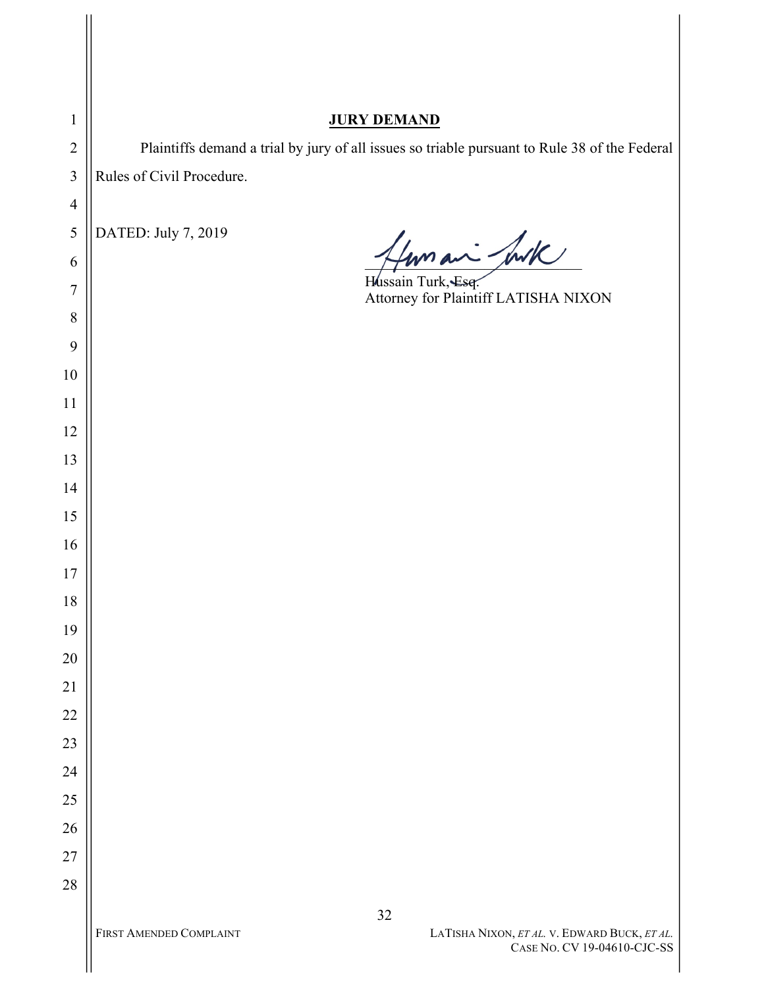| $\mathbf{1}$            | <b>JURY DEMAND</b>                                                                            |
|-------------------------|-----------------------------------------------------------------------------------------------|
| $\overline{2}$          | Plaintiffs demand a trial by jury of all issues so triable pursuant to Rule 38 of the Federal |
| $\overline{\mathbf{3}}$ | Rules of Civil Procedure.                                                                     |
| $\overline{4}$          |                                                                                               |
| 5                       | DATED: July 7, 2019                                                                           |
| 6                       | 4 mm an - Just                                                                                |
| 7                       | Hussain Turk, Esq.<br>Attorney for Plaintiff LATISHA NIXON                                    |
| 8                       |                                                                                               |
| 9                       |                                                                                               |
| 10                      |                                                                                               |
| 11                      |                                                                                               |
| 12                      |                                                                                               |
| 13                      |                                                                                               |
| 14                      |                                                                                               |
| 15                      |                                                                                               |
| 16                      |                                                                                               |
| 17                      |                                                                                               |
| 18                      |                                                                                               |
| 19                      |                                                                                               |
| $20\,$                  |                                                                                               |
| 21                      |                                                                                               |
| 22                      |                                                                                               |
| 23                      |                                                                                               |
| 24                      |                                                                                               |
| 25                      |                                                                                               |
| 26                      |                                                                                               |
| $27\,$                  |                                                                                               |
| $28\,$                  |                                                                                               |
|                         | $32\,$<br>FIRST AMENDED COMPLAINT                                                             |
|                         | LATISHA NIXON, <i>ET AL</i> . V. EDWARD BUCK, <i>ET AL.</i><br>CASE NO. CV 19-04610-CJC-SS    |

 $\mathsf{I}$  $\mathbb{I}$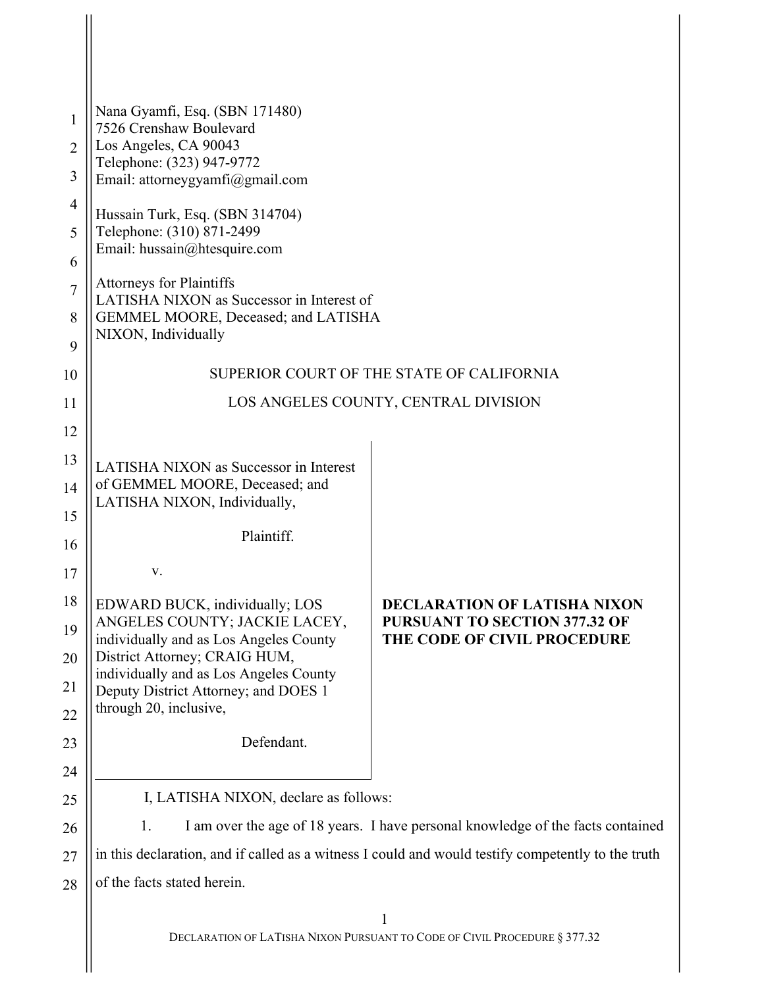| 1              | Nana Gyamfi, Esq. (SBN 171480)<br>7526 Crenshaw Boulevard                                          |                                                                           |  |
|----------------|----------------------------------------------------------------------------------------------------|---------------------------------------------------------------------------|--|
| $\overline{2}$ | Los Angeles, CA 90043<br>Telephone: (323) 947-9772                                                 |                                                                           |  |
| 3              | Email: attorneygyamfi@gmail.com                                                                    |                                                                           |  |
| 4              | Hussain Turk, Esq. (SBN 314704)                                                                    |                                                                           |  |
| 5              | Telephone: (310) 871-2499                                                                          |                                                                           |  |
| 6              | Email: hussain@htesquire.com                                                                       |                                                                           |  |
| $\overline{7}$ | <b>Attorneys for Plaintiffs</b><br>LATISHA NIXON as Successor in Interest of                       |                                                                           |  |
| 8              | GEMMEL MOORE, Deceased; and LATISHA                                                                |                                                                           |  |
| 9              | NIXON, Individually                                                                                |                                                                           |  |
| 10             |                                                                                                    | SUPERIOR COURT OF THE STATE OF CALIFORNIA                                 |  |
| 11             | LOS ANGELES COUNTY, CENTRAL DIVISION                                                               |                                                                           |  |
| 12             |                                                                                                    |                                                                           |  |
| 13             | <b>LATISHA NIXON as Successor in Interest</b>                                                      |                                                                           |  |
| 14             | of GEMMEL MOORE, Deceased; and                                                                     |                                                                           |  |
| 15             | LATISHA NIXON, Individually,                                                                       |                                                                           |  |
| 16             | Plaintiff.                                                                                         |                                                                           |  |
| 17             | V.                                                                                                 |                                                                           |  |
| 18             | EDWARD BUCK, individually; LOS                                                                     | <b>DECLARATION OF LATISHA NIXON</b>                                       |  |
| 19             | ANGELES COUNTY; JACKIE LACEY,<br>individually and as Los Angeles County                            | <b>PURSUANT TO SECTION 377.32 OF</b><br>THE CODE OF CIVIL PROCEDURE       |  |
| 20             | District Attorney; CRAIG HUM,<br>individually and as Los Angeles County                            |                                                                           |  |
| 21             | Deputy District Attorney; and DOES 1                                                               |                                                                           |  |
| 22             | through 20, inclusive,                                                                             |                                                                           |  |
| 23             | Defendant.                                                                                         |                                                                           |  |
| 24             |                                                                                                    |                                                                           |  |
| 25             | I, LATISHA NIXON, declare as follows:                                                              |                                                                           |  |
| 26             | I am over the age of 18 years. I have personal knowledge of the facts contained<br>1.              |                                                                           |  |
| 27             | in this declaration, and if called as a witness I could and would testify competently to the truth |                                                                           |  |
| 28             | of the facts stated herein.                                                                        |                                                                           |  |
|                |                                                                                                    | DECLARATION OF LATISHA NIXON PURSUANT TO CODE OF CIVIL PROCEDURE § 377.32 |  |